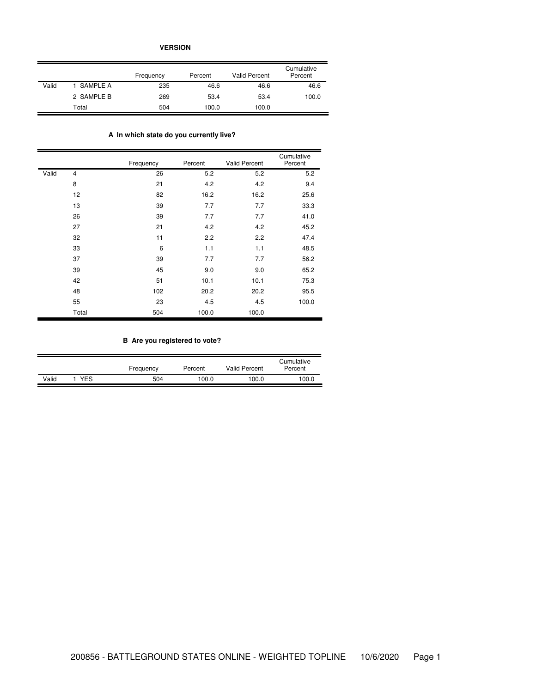**VERSION**

|       |            | Frequency | Percent | <b>Valid Percent</b> | Cumulative<br>Percent |
|-------|------------|-----------|---------|----------------------|-----------------------|
| Valid | 1 SAMPLE A | 235       | 46.6    | 46.6                 | 46.6                  |
|       | 2 SAMPLE B | 269       | 53.4    | 53.4                 | 100.0                 |
|       | Total      | 504       | 100.0   | 100.0                |                       |

# **A In which state do you currently live?**

|       |                | Frequency | Percent | <b>Valid Percent</b> | Cumulative<br>Percent |
|-------|----------------|-----------|---------|----------------------|-----------------------|
| Valid | $\overline{4}$ | 26        | 5.2     | 5.2                  | 5.2                   |
|       | 8              | 21        | 4.2     | 4.2                  | 9.4                   |
|       | 12             | 82        | 16.2    | 16.2                 | 25.6                  |
|       | 13             | 39        | 7.7     | 7.7                  | 33.3                  |
|       | 26             | 39        | 7.7     | 7.7                  | 41.0                  |
|       | 27             | 21        | 4.2     | 4.2                  | 45.2                  |
|       | 32             | 11        | 2.2     | 2.2                  | 47.4                  |
|       | 33             | 6         | 1.1     | 1.1                  | 48.5                  |
|       | 37             | 39        | 7.7     | 7.7                  | 56.2                  |
|       | 39             | 45        | 9.0     | 9.0                  | 65.2                  |
|       | 42             | 51        | 10.1    | 10.1                 | 75.3                  |
|       | 48             | 102       | 20.2    | 20.2                 | 95.5                  |
|       | 55             | 23        | 4.5     | 4.5                  | 100.0                 |
|       | Total          | 504       | 100.0   | 100.0                |                       |

# **B Are you registered to vote?**

|       |            |           |         |                      | Cumulative |
|-------|------------|-----------|---------|----------------------|------------|
|       |            | Frequency | Percent | <b>Valid Percent</b> | Percent    |
| Valid | <b>YES</b> | 504       | 100.0   | 100.0                | 100.0      |
|       |            |           |         |                      |            |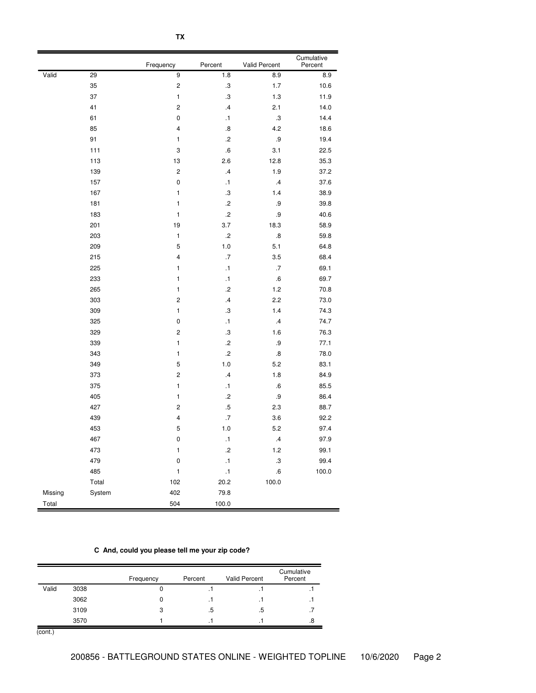|         |        | Frequency               | Percent           | Valid Percent     | Cumulative<br>Percent |
|---------|--------|-------------------------|-------------------|-------------------|-----------------------|
| Valid   | 29     | 9                       | 1.8               | 8.9               | 8.9                   |
|         | 35     | $\overline{c}$          | $\cdot$ 3         | 1.7               | 10.6                  |
|         | 37     | $\mathbf{1}$            | $\cdot$ 3         | $1.3$             | 11.9                  |
|         | 41     |                         | .4                | 2.1               | 14.0                  |
|         | 61     | $\pmb{0}$               | $\cdot$ 1         | $\cdot$ 3         | 14.4                  |
|         | 85     | $\overline{4}$          | $\boldsymbol{.8}$ | 4.2               | 18.6                  |
|         | 91     | $\mathbf{1}$            | $\cdot$           | $.9\,$            | 19.4                  |
|         | 111    | 3                       | .6                | 3.1               | 22.5                  |
|         | 113    | 13                      | 2.6               | 12.8              | 35.3                  |
|         | 139    | $\overline{c}$          | $\cdot$ 4         | 1.9               | 37.2                  |
|         | 157    | $\pmb{0}$               | $\cdot$ 1         | $\cdot$ 4         | 37.6                  |
|         | 167    | $\mathbf{1}$            | $\boldsymbol{.3}$ | 1.4               | 38.9                  |
|         | 181    | $\mathbf{1}$            | $.2\,$            | .9                | 39.8                  |
|         | 183    | 1                       | $\cdot$           | $.9\,$            | 40.6                  |
|         | 201    | 19                      | 3.7               | 18.3              | 58.9                  |
|         | 203    | $\mathbf{1}$            | $\cdot$           | $\boldsymbol{.8}$ | 59.8                  |
|         | 209    | 5                       | 1.0               | 5.1               | 64.8                  |
|         | 215    | $\overline{\mathbf{4}}$ | $.7\,$            | 3.5               | 68.4                  |
|         | 225    | $\mathbf{1}$            | $\cdot$ 1         | $.7\,$            | 69.1                  |
|         | 233    | $\mathbf{1}$            | $\cdot$ 1         | .6                | 69.7                  |
|         | 265    | $\mathbf{1}$            | $\cdot$           | 1.2               | 70.8                  |
|         | 303    | $\overline{\mathbf{c}}$ | $\cdot$           | 2.2               | 73.0                  |
|         | 309    | 1                       | $\cdot$           | 1.4               | 74.3                  |
|         | 325    | $\pmb{0}$               | $\cdot$ 1         | .4                | 74.7                  |
|         | 329    | $\overline{c}$          | $\cdot$           | 1.6               | 76.3                  |
|         | 339    | $\mathbf{1}$            | $\cdot$           | .9                | 77.1                  |
|         | 343    | $\mathbf{1}$            | $\cdot$           | $\boldsymbol{.8}$ | 78.0                  |
|         | 349    | 5                       | $1.0$             | 5.2               | 83.1                  |
|         | 373    | $\overline{c}$          | $\mathcal{A}$     | 1.8               | 84.9                  |
|         | 375    | $\mathbf{1}$            | $\cdot$ 1         | .6                | 85.5                  |
|         | 405    | $\mathbf{1}$            | $\cdot$           | .9                | 86.4                  |
|         | 427    | $\overline{\mathbf{c}}$ | $.5\,$            | 2.3               | 88.7                  |
|         | 439    | $\overline{\mathbf{4}}$ | $.7\,$            | 3.6               | 92.2                  |
|         | 453    | 5                       | 1.0               | 5.2               | 97.4                  |
|         | 467    | $\pmb{0}$               | $\cdot$ 1         | $\cdot$           | 97.9                  |
|         | 473    | $\mathbf{1}$            | $\cdot$           | 1.2               | 99.1                  |
|         | 479    | 0                       | $\cdot$ 1         | $\boldsymbol{.3}$ | 99.4                  |
|         | 485    | 1                       | $\cdot$ 1         | .6                | 100.0                 |
|         | Total  | 102                     | 20.2              | 100.0             |                       |
| Missing | System | 402                     | 79.8              |                   |                       |
| Total   |        | 504                     | 100.0             |                   |                       |

# **C And, could you please tell me your zip code?**

|       |      | Frequency | Percent | <b>Valid Percent</b> | Cumulative<br>Percent |
|-------|------|-----------|---------|----------------------|-----------------------|
| Valid | 3038 | 0         | . .     | . .                  | . .                   |
|       | 3062 | 0         | . .     | . .                  | . .                   |
|       | 3109 | 3         | .5      | .5                   |                       |
|       | 3570 |           | . .     | $\cdot$ .            | .8                    |

(cont.)

- BATTLEGROUND STATES ONLINE - WEIGHTED TOPLINE 10/6/2020 Page 2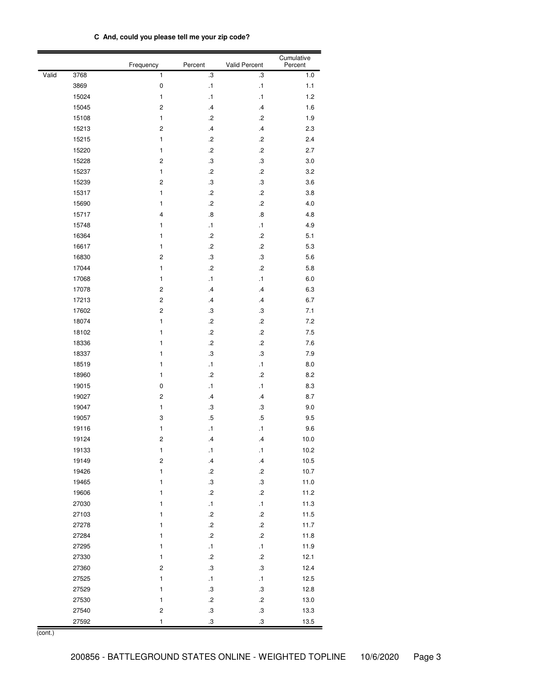|  | C And, could you please tell me your zip code? |  |  |  |  |  |
|--|------------------------------------------------|--|--|--|--|--|
|--|------------------------------------------------|--|--|--|--|--|

|       |       | Frequency    | Percent           | <b>Valid Percent</b> | Cumulative<br>Percent |
|-------|-------|--------------|-------------------|----------------------|-----------------------|
| Valid | 3768  | 1            | $\cdot$           | .3                   | 1.0                   |
|       | 3869  | $\pmb{0}$    | $\cdot$ 1         | $\cdot$ 1            | 1.1                   |
|       | 15024 | $\mathbf{1}$ | $\cdot$ 1         | $\cdot$ 1            | 1.2                   |
|       | 15045 | $\mathbf 2$  | $\cdot$ 4         | $\cdot$              | 1.6                   |
|       | 15108 | $\mathbf{1}$ | $\overline{c}$    | $\cdot$              | 1.9                   |
|       | 15213 | $\mathbf 2$  | $\cdot$           | $\cdot$              | 2.3                   |
|       | 15215 | $\mathbf{1}$ | $\cdot$           | $\cdot^2$            | 2.4                   |
|       | 15220 | 1            | $\cdot$           | $\cdot$              | 2.7                   |
|       | 15228 | 2            | $\cdot$           | $\boldsymbol{.3}$    | 3.0                   |
|       | 15237 | $\mathbf{1}$ | $\cdot$           | $\cdot$              | 3.2                   |
|       | 15239 | $\mathbf 2$  | $\boldsymbol{.3}$ | $\boldsymbol{.3}$    | 3.6                   |
|       | 15317 | 1            | $\cdot$           | $\cdot$              | 3.8                   |
|       | 15690 | 1            | $\cdot$           | $\cdot^2$            | 4.0                   |
|       | 15717 | 4            | $\boldsymbol{.8}$ | $\boldsymbol{.8}$    | 4.8                   |
|       | 15748 | 1            | $\cdot$ 1         | $\cdot$ 1            | 4.9                   |
|       | 16364 | 1            | $.2\,$            | $\cdot$ 2            | 5.1                   |
|       | 16617 | 1            | $.2\,$            | $\cdot^2$            | 5.3                   |
|       | 16830 | $\mathbf 2$  | $\boldsymbol{.3}$ | $\boldsymbol{.3}$    | 5.6                   |
|       | 17044 | $\mathbf{1}$ | $.2\,$            | $\cdot^2$            | 5.8                   |
|       | 17068 | $\mathbf{1}$ | $\cdot$ 1         | $\cdot$ 1            | 6.0                   |
|       | 17078 | $\mathbf 2$  | $\cdot$ 4         | $\cdot$              | 6.3                   |
|       | 17213 | $\mathbf 2$  | $\cdot$ 4         | $\cdot$              | 6.7                   |
|       | 17602 | $\mathbf 2$  | $\boldsymbol{.3}$ | $\boldsymbol{.3}$    | 7.1                   |
|       | 18074 | 1            | $\cdot$           | $\cdot$              | 7.2                   |
|       | 18102 | 1            | $\cdot$           | $\cdot$              | 7.5                   |
|       | 18336 | 1            | $\cdot$           | $\cdot$              | 7.6                   |
|       | 18337 | 1            | $\boldsymbol{.3}$ | $\boldsymbol{.3}$    | 7.9                   |
|       | 18519 | 1            | $\cdot$ 1         | $\cdot$ 1            | 8.0                   |
|       | 18960 | $\mathbf{1}$ | $\cdot$           | $\cdot$              | 8.2                   |
|       | 19015 | $\pmb{0}$    | $\cdot$ 1         | $\cdot$ 1            | 8.3                   |
|       | 19027 | $\mathbf 2$  | $\cdot$           | $\cdot$              | 8.7                   |
|       | 19047 | $\mathbf{1}$ | $\cdot$           | $\boldsymbol{.3}$    | 9.0                   |
|       | 19057 | 3            | $.5\,$            | $\overline{.5}$      | 9.5                   |
|       | 19116 | 1            | $\cdot$ 1         | $\cdot$ 1            | 9.6                   |
|       | 19124 | $\mathbf 2$  | $\cdot$ 4         | $\cdot$ 4            | 10.0                  |
|       | 19133 | 1            | $\cdot$ 1         | $\cdot$ 1            | 10.2                  |
|       | 19149 | $\mathbf 2$  | $\overline{v}$    | $\cdot$              | 10.5                  |
|       | 19426 | $\mathbf{1}$ | $\cdot$           | $\cdot$ 2            | 10.7                  |
|       | 19465 | 1            | $\cdot$ 3         | $\boldsymbol{.3}$    | 11.0                  |
|       | 19606 | 1            | $\cdot$           | $\cdot$              | 11.2                  |
|       | 27030 | 1            | $\cdot$ 1         | $\cdot$ 1            | 11.3                  |
|       | 27103 | 1            | $\cdot$           | $\cdot$              | 11.5                  |
|       | 27278 | 1            | $\cdot$           | $\cdot$              | 11.7                  |
|       |       | 1            | $\cdot$           | $.2\,$               |                       |
|       | 27284 |              |                   |                      | 11.8                  |
|       | 27295 | $\mathbf{1}$ | $\cdot$ 1         | $\cdot$ 1            | 11.9                  |
|       | 27330 | $\mathbf{1}$ | $\cdot$           | $\cdot$              | 12.1                  |
|       | 27360 | $\mathbf 2$  | $\cdot$ 3         | $_{\rm 3}$           | 12.4                  |
|       | 27525 | 1            | $\cdot$ 1         | $\cdot$ 1            | 12.5                  |
|       | 27529 | 1            | $\boldsymbol{.3}$ | $\boldsymbol{.3}$    | 12.8                  |
|       | 27530 | $\mathbf{1}$ | $\cdot$           | $\cdot$              | 13.0                  |
|       | 27540 | $\mathbf 2$  | $\boldsymbol{.3}$ | $\boldsymbol{.3}$    | 13.3                  |
|       | 27592 | 1            | $\boldsymbol{.3}$ | $\boldsymbol{3}$     | 13.5                  |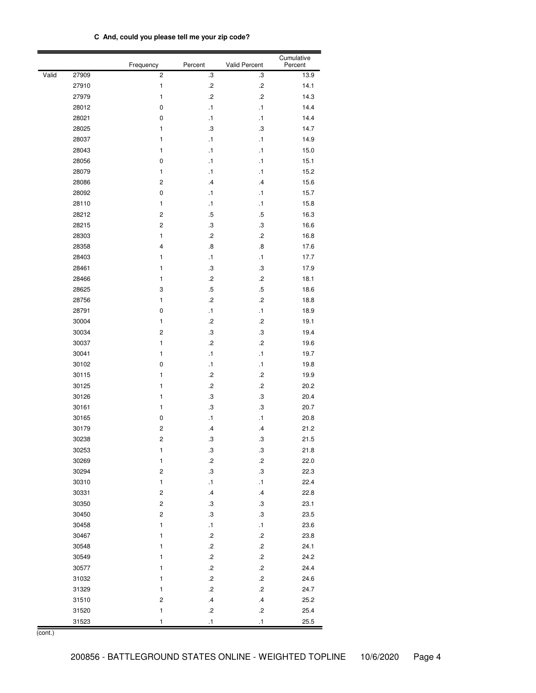| C And, could you please tell me your zip code? |
|------------------------------------------------|
|------------------------------------------------|

|       |       | Frequency               | Percent           | Valid Percent     | Cumulative<br>Percent |
|-------|-------|-------------------------|-------------------|-------------------|-----------------------|
| Valid | 27909 | $\overline{\mathbf{c}}$ | $\boldsymbol{.3}$ | .3                | 13.9                  |
|       | 27910 | $\mathbf{1}$            | $\cdot$           | $\cdot^2$         | 14.1                  |
|       | 27979 | 1                       | $\cdot$           | $\overline{c}$    | 14.3                  |
|       | 28012 | 0                       | $\cdot$ 1         | $\cdot$ 1         | 14.4                  |
|       | 28021 | 0                       | $\cdot$ 1         | $\cdot$ 1         | 14.4                  |
|       | 28025 | 1                       | $\cdot$           | $\cdot$           | 14.7                  |
|       | 28037 | 1                       | $\cdot$ 1         | $\cdot$ 1         | 14.9                  |
|       | 28043 | 1                       | $\cdot$ 1         | $\cdot$ 1         | 15.0                  |
|       | 28056 | 0                       | $\cdot$ 1         | $\cdot$ 1         | 15.1                  |
|       | 28079 | 1                       | $\cdot$ 1         | $\cdot$ 1         | 15.2                  |
|       | 28086 | $\overline{\mathbf{c}}$ | $\cdot$ 4         | $\cdot$           | 15.6                  |
|       | 28092 | 0                       | $\cdot$ 1         | $\cdot$ 1         | 15.7                  |
|       | 28110 | $\mathbf{1}$            | $\cdot$ 1         | $\cdot$ 1         | 15.8                  |
|       | 28212 | $\overline{\mathbf{c}}$ | $.5\,$            | $.5\,$            | 16.3                  |
|       | 28215 | $\overline{\mathbf{c}}$ | $\cdot$           | $\boldsymbol{.3}$ | 16.6                  |
|       | 28303 | $\mathbf{1}$            | $\cdot$           | $\cdot$           | 16.8                  |
|       | 28358 | $\overline{4}$          | $\boldsymbol{.8}$ | $\boldsymbol{.8}$ | 17.6                  |
|       | 28403 | $\mathbf{1}$            | $\cdot$ 1         | $\cdot$ 1         | 17.7                  |
|       | 28461 | 1                       | .3                | .3                | 17.9                  |
|       | 28466 | $\mathbf{1}$            | $\cdot$           | $\cdot$           | 18.1                  |
|       | 28625 | 3                       | .5                | $.5\,$            | 18.6                  |
|       | 28756 | $\mathbf{1}$            | $\overline{c}$    | $\cdot$           | 18.8                  |
|       | 28791 | 0                       | $\cdot$ 1         | $\cdot$ 1         | 18.9                  |
|       | 30004 | $\mathbf{1}$            | $\cdot$           | $\cdot$           | 19.1                  |
|       | 30034 | $\overline{\mathbf{c}}$ | $\cdot$           | $\cdot$ 3         | 19.4                  |
|       | 30037 | $\mathbf{1}$            | $\cdot$           | $\cdot$           | 19.6                  |
|       | 30041 | 1                       | $\cdot$ 1         | $\cdot$ 1         | 19.7                  |
|       | 30102 | 0                       | $\cdot$ 1         | $\cdot$ 1         | 19.8                  |
|       | 30115 | 1                       | $\cdot$           | $\cdot$           | 19.9                  |
|       | 30125 | 1                       | $\cdot$           | $\cdot$           | 20.2                  |
|       | 30126 | 1                       | $\boldsymbol{.3}$ | .3                | 20.4                  |
|       | 30161 | 1                       | $\cdot$           | .3                | 20.7                  |
|       | 30165 | 0                       | $\cdot$ 1         | $\cdot$ 1         | 20.8                  |
|       | 30179 | 2                       | $\cdot$           | $\cdot$           | 21.2                  |
|       | 30238 | $\overline{c}$          | .3                | $\boldsymbol{.3}$ | 21.5                  |
|       | 30253 | $\mathbf{1}$            | $\cdot$ 3         | $\cdot$ 3         | 21.8                  |
|       | 30269 | $\mathbf{1}$            | $\cdot$           | $\cdot$           | 22.0                  |
|       | 30294 | $\overline{\mathbf{c}}$ | $\boldsymbol{.3}$ | $_{\rm 3}$        | 22.3                  |
|       | 30310 | $\mathbf{1}$            | $\cdot$ 1         | $\cdot$ 1         | 22.4                  |
|       | 30331 | $\overline{\mathbf{c}}$ | $\cdot$ 4         | $\cdot$           | 22.8                  |
|       | 30350 | $\overline{\mathbf{c}}$ | $\boldsymbol{.3}$ | $\cdot$ 3         | 23.1                  |
|       | 30450 | $\overline{\mathbf{c}}$ | $\boldsymbol{.3}$ | $\cdot$ 3         | 23.5                  |
|       | 30458 | $\mathbf{1}$            | $\cdot$ 1         | $\cdot$ 1         | 23.6                  |
|       | 30467 | $\mathbf{1}$            | $\cdot$           | $\cdot$           | 23.8                  |
|       | 30548 | 1                       | $\cdot$           | $\cdot$           | 24.1                  |
|       | 30549 | 1                       | $\cdot$           | $\cdot$           | 24.2                  |
|       | 30577 | $\mathbf{1}$            | $\cdot$           | $\cdot$           | 24.4                  |
|       | 31032 | 1                       | $\cdot$           | $\cdot$           | 24.6                  |
|       | 31329 | $\mathbf{1}$            | $\cdot$           | $\cdot$           | 24.7                  |
|       | 31510 | $\overline{\mathbf{c}}$ | $\cdot$           | $\cdot$           | 25.2                  |
|       | 31520 | $\mathbf{1}$            | $\cdot^2$         | $\cdot^2$         | 25.4                  |
|       | 31523 | $\mathbf{1}$            | $\cdot$ 1         | $\cdot$ 1         | 25.5                  |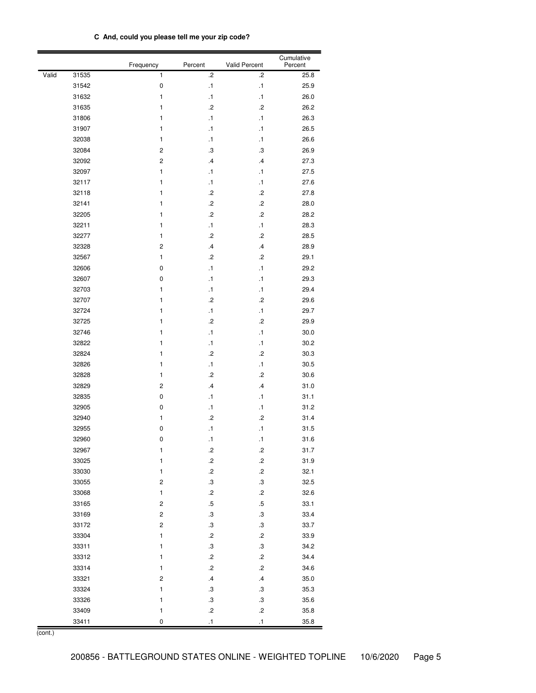| C And, could you please tell me your zip code? |
|------------------------------------------------|
|------------------------------------------------|

|       |       | Frequency               | Percent                    | Valid Percent     | Cumulative<br>Percent |
|-------|-------|-------------------------|----------------------------|-------------------|-----------------------|
| Valid | 31535 | 1                       | $\cdot$                    | $\cdot$           | 25.8                  |
|       | 31542 | $\mathbf 0$             | $\cdot$ 1                  | $\cdot$ 1         | 25.9                  |
|       | 31632 | 1                       | $\cdot$ 1                  | $\cdot$ 1         | 26.0                  |
|       | 31635 | 1                       | $\overline{c}$             | $\cdot$           | 26.2                  |
|       | 31806 | 1                       | $\cdot$ 1                  | $\cdot$ 1         | 26.3                  |
|       | 31907 | 1                       | $\cdot$ 1                  | $\cdot$ 1         | 26.5                  |
|       | 32038 | 1                       | $\cdot$ 1                  | $\cdot$ 1         | 26.6                  |
|       | 32084 | 2                       | .3                         | .3                | 26.9                  |
|       | 32092 | $\overline{c}$          | $\cdot$ 4                  | $\cdot$           | 27.3                  |
|       | 32097 | $\mathbf{1}$            | $\cdot$ 1                  | $\cdot$ 1         | 27.5                  |
|       | 32117 | 1                       | $\cdot$ 1                  | $\cdot$ 1         | 27.6                  |
|       | 32118 | 1                       | $\cdot$                    | $\cdot$           | 27.8                  |
|       | 32141 | 1                       | $\cdot$                    | $\cdot$           | 28.0                  |
|       | 32205 | 1                       | $\cdot$                    | $\cdot$           | 28.2                  |
|       | 32211 | 1                       | $\cdot$ 1                  | $\cdot$ 1         | 28.3                  |
|       | 32277 | $\mathbf{1}$            | $\cdot$                    | $\cdot$           | 28.5                  |
|       | 32328 | $\overline{\mathbf{c}}$ | $\cdot$ 4                  | $\cdot$           | 28.9                  |
|       | 32567 | $\mathbf{1}$            | $\cdot$                    | $\cdot$           | 29.1                  |
|       | 32606 | 0                       | $\cdot$ 1                  | $\cdot$ 1         | 29.2                  |
|       | 32607 | 0                       | $\cdot$ 1                  | $\cdot$ 1         | 29.3                  |
|       | 32703 | 1                       | $\cdot$ 1                  | $\cdot$ 1         | 29.4                  |
|       | 32707 | $\mathbf{1}$            | $\overline{c}$             | $\cdot$           | 29.6                  |
|       | 32724 | 1                       | $\cdot$ 1                  | $\cdot$ 1         | 29.7                  |
|       | 32725 | 1                       | $\cdot$                    | $\overline{c}$    | 29.9                  |
|       | 32746 | 1                       | $\cdot$ 1                  | $\cdot$ 1         | 30.0                  |
|       | 32822 | 1                       | $\cdot$ 1                  | $\cdot$ 1         | 30.2                  |
|       | 32824 | 1                       | $\cdot$                    | $\cdot$           | 30.3                  |
|       | 32826 | 1                       | $\cdot$ 1                  | $\cdot$ 1         | 30.5                  |
|       | 32828 | 1                       | $\overline{c}$             | $\cdot$           | 30.6                  |
|       | 32829 | $\overline{\mathbf{c}}$ | $\cdot$ 4                  | $\cdot$ 4         | 31.0                  |
|       | 32835 | 0                       | $\cdot$ 1                  | $\cdot$ 1         | 31.1                  |
|       | 32905 | 0                       | $\cdot$ 1                  | $\cdot$ 1         | 31.2                  |
|       | 32940 | 1                       | $\cdot$                    | $\cdot$           | 31.4                  |
|       | 32955 | 0                       | $\cdot$ 1                  | $\cdot$ 1         | 31.5                  |
|       | 32960 | 0                       | $\cdot$ 1                  | $\cdot$ 1         | 31.6                  |
|       | 32967 | $\mathbf{1}$            | $\cdot$                    | .2                | 31.7                  |
|       | 33025 | $\mathbf{1}$            | $\cdot$                    | $\cdot$           | 31.9                  |
|       | 33030 | $\mathbf{1}$            | $\cdot$                    | $\cdot$ 2         | 32.1                  |
|       | 33055 | 2                       | $\boldsymbol{.3}$          | $_{\rm 3}$        | 32.5                  |
|       | 33068 | $\mathbf{1}$            | $\cdot^2$                  | $\cdot$           | 32.6                  |
|       | 33165 | 2                       | $.5\,$                     | $.5\,$            | 33.1                  |
|       | 33169 | 2                       | $\boldsymbol{.3}$          | $\boldsymbol{.3}$ | 33.4                  |
|       | 33172 | $\overline{\mathbf{c}}$ | $\boldsymbol{.3}$          | $\boldsymbol{.3}$ | 33.7                  |
|       | 33304 | $\mathbf{1}$            | $\cdot^2$                  | $\cdot$           | 33.9                  |
|       | 33311 | $\mathbf{1}$            | $\boldsymbol{.3}$          | $\cdot$ 3         | 34.2                  |
|       | 33312 | $\mathbf{1}$            | $\cdot^2$                  | $\cdot$           | 34.4                  |
|       | 33314 | $\mathbf{1}$            | $\cdot$                    | $\cdot$           | 34.6                  |
|       | 33321 | $\overline{\mathbf{c}}$ | $\cdot$                    | $\cdot$           | 35.0                  |
|       | 33324 | $\mathbf{1}$            | $\boldsymbol{.3}$          | $\cdot$ 3         | 35.3                  |
|       | 33326 | $\mathbf{1}$            | $\boldsymbol{\mathsf{.3}}$ | $\boldsymbol{.3}$ | 35.6                  |
|       | 33409 | $\mathbf{1}$            | $\cdot^2$                  | $\cdot$           | 35.8                  |
|       | 33411 | 0                       | $\cdot$ 1                  | $\cdot$ 1         | 35.8                  |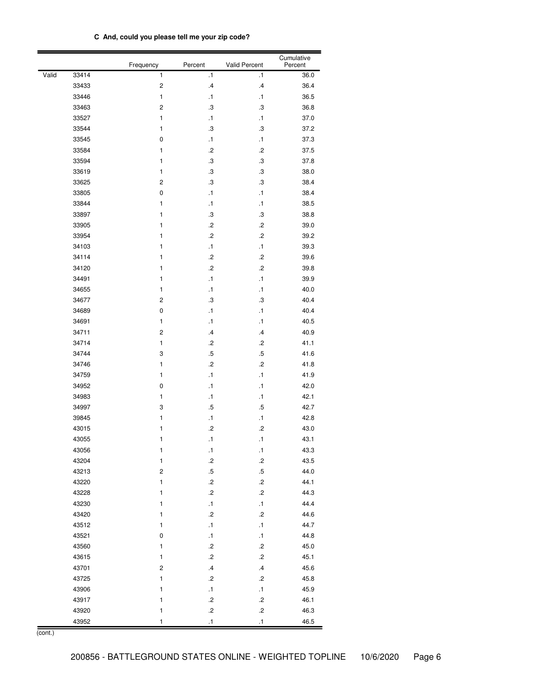| C And, could you please tell me your zip code? |  |
|------------------------------------------------|--|
|------------------------------------------------|--|

|       |       | Frequency    | Percent           | Valid Percent     | Cumulative<br>Percent |
|-------|-------|--------------|-------------------|-------------------|-----------------------|
| Valid | 33414 | 1            | $\cdot$ 1         | $\cdot$ 1         | 36.0                  |
|       | 33433 | $\sqrt{2}$   | $\cdot$ 4         | $\cdot$           | 36.4                  |
|       | 33446 | 1            | $\cdot$ 1         | $\cdot$ 1         | 36.5                  |
|       | 33463 | $\mathbf 2$  | $\cdot$           | $\boldsymbol{.3}$ | 36.8                  |
|       | 33527 | 1            | $\cdot$ 1         | $\cdot$ 1         | 37.0                  |
|       | 33544 | 1            | $\cdot$           | $\boldsymbol{.3}$ | 37.2                  |
|       | 33545 | 0            | $\cdot$ 1         | $\cdot$ 1         | 37.3                  |
|       | 33584 | 1            | $\cdot$           | $\overline{c}$    | 37.5                  |
|       | 33594 | 1            | $\boldsymbol{.3}$ | $\boldsymbol{.3}$ | 37.8                  |
|       | 33619 | 1            | $\cdot$           | $\boldsymbol{.3}$ | 38.0                  |
|       | 33625 | 2            | $\cdot$ 3         | $\boldsymbol{.3}$ | 38.4                  |
|       | 33805 | 0            | $\cdot$ 1         | $\cdot$ 1         | 38.4                  |
|       | 33844 | 1            | $\cdot$ 1         | $\cdot$ 1         | 38.5                  |
|       | 33897 | 1            | $\boldsymbol{.3}$ | $\cdot$ 3         | 38.8                  |
|       | 33905 | 1            | $\cdot$           | $\cdot$           | 39.0                  |
|       | 33954 | 1            | $\cdot$           | $\cdot$           | 39.2                  |
|       | 34103 | 1            | $\cdot$ 1         | $\cdot$ 1         | 39.3                  |
|       | 34114 | 1            | $\cdot$           | $\cdot$           | 39.6                  |
|       | 34120 | 1            | $\overline{c}$    | $\cdot$           | 39.8                  |
|       | 34491 | 1            | $\cdot$ 1         | $\cdot$ 1         | 39.9                  |
|       | 34655 | 1            | $\cdot$ 1         | $\cdot$ 1         | 40.0                  |
|       | 34677 | $\mathbf 2$  | $\cdot$           | $\cdot$           | 40.4                  |
|       | 34689 | $\pmb{0}$    | $\cdot$ 1         | $\cdot$ 1         | 40.4                  |
|       | 34691 | $\mathbf{1}$ | $\cdot$ 1         | $\cdot$ 1         | 40.5                  |
|       | 34711 | $\mathbf 2$  | $\cdot$ 4         | $\cdot$ 4         | 40.9                  |
|       | 34714 | 1            | $\overline{c}$    | $\cdot$           | 41.1                  |
|       | 34744 | 3            | $.5\,$            | $.5\,$            | 41.6                  |
|       | 34746 | 1            | $\overline{c}$    | $\cdot$           | 41.8                  |
|       | 34759 | 1            | $\cdot$ 1         | $\cdot$ 1         | 41.9                  |
|       | 34952 | 0            | $\cdot$ 1         | $\cdot$ 1         | 42.0                  |
|       | 34983 | 1            | $\cdot$ 1         | $\cdot$ 1         | 42.1                  |
|       | 34997 | 3            | .5                | $.5\,$            | 42.7                  |
|       | 39845 | 1            | $\cdot$ 1         | $\cdot$ 1         | 42.8                  |
|       | 43015 | 1            | $\cdot$           | $\cdot$           | 43.0                  |
|       | 43055 | 1            | $\cdot$ 1         | $\cdot$ 1         | 43.1                  |
|       | 43056 | 1            | $\cdot$ 1         | $\cdot$ 1         | 43.3                  |
|       | 43204 | $\mathbf{1}$ | $\cdot^2$         | $\cdot^2$         | 43.5                  |
|       | 43213 | $\mathbf 2$  | $.5\,$            | $.5\,$            | 44.0                  |
|       | 43220 | $\mathbf{1}$ | $\cdot$           | $\cdot$ 2         | 44.1                  |
|       | 43228 | $\mathbf{1}$ | $\cdot$           | $\cdot$           | 44.3                  |
|       | 43230 | $\mathbf{1}$ | $\cdot$ 1         | $\cdot$ 1         | 44.4                  |
|       | 43420 | $\mathbf{1}$ | $\cdot$           | $.2\,$            | 44.6                  |
|       | 43512 | $\mathbf{1}$ | $\cdot$ 1         | $\cdot$ 1         | 44.7                  |
|       | 43521 | $\pmb{0}$    | $\cdot$ 1         | $\cdot$ 1         | 44.8                  |
|       | 43560 | $\mathbf{1}$ | $\cdot$           | $.2\,$            | 45.0                  |
|       | 43615 | $\mathbf{1}$ | $\cdot$           | $\cdot$           | 45.1                  |
|       | 43701 | $\mathbf 2$  | $\mathcal{A}$     | $\cdot$           | 45.6                  |
|       | 43725 | $\mathbf{1}$ | $\cdot$           | $\cdot$           | 45.8                  |
|       | 43906 | $\mathbf{1}$ | $\cdot$ 1         | $\cdot$ 1         | 45.9                  |
|       | 43917 | 1            | $\cdot$           | $\cdot$ 2         | 46.1                  |
|       | 43920 | 1            | $\overline{c}$    | $\cdot^2$         | 46.3                  |
|       | 43952 | 1            | $\cdot$ 1         | $\cdot$ 1         | 46.5                  |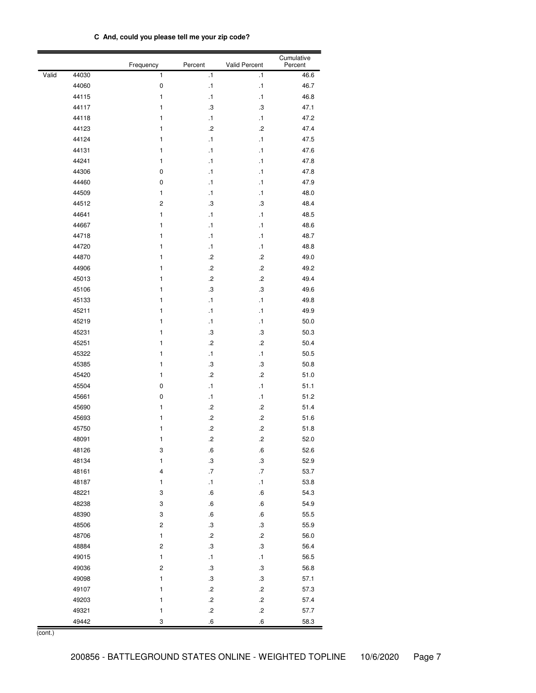|  | C And, could you please tell me your zip code? |  |  |  |  |  |
|--|------------------------------------------------|--|--|--|--|--|
|--|------------------------------------------------|--|--|--|--|--|

|       |       | Frequency               | Percent                 | <b>Valid Percent</b> | Cumulative<br>Percent |
|-------|-------|-------------------------|-------------------------|----------------------|-----------------------|
| Valid | 44030 | $\mathbf{1}$            | $\cdot$ 1               | $\cdot$ 1            | 46.6                  |
|       | 44060 | $\mathbf 0$             | $\cdot$ 1               | $\cdot$ 1            | 46.7                  |
|       | 44115 | $\mathbf{1}$            | $\cdot$ 1               | $\cdot$ 1            | 46.8                  |
|       | 44117 | 1                       | $\cdot$                 | $\boldsymbol{.3}$    | 47.1                  |
|       | 44118 | 1                       | $\cdot$ 1               | $\cdot$ 1            | 47.2                  |
|       | 44123 | 1                       | $\cdot$                 | $\overline{c}$       | 47.4                  |
|       | 44124 | 1                       | $\cdot$ 1               | $\cdot$ 1            | 47.5                  |
|       | 44131 | 1                       | $\cdot$ 1               | $\cdot$ 1            | 47.6                  |
|       | 44241 | 1                       | $\cdot$ 1               | $\cdot$ 1            | 47.8                  |
|       | 44306 | 0                       | $\cdot$ 1               | $\cdot$ 1            | 47.8                  |
|       | 44460 | $\pmb{0}$               | $\cdot$ 1               | $\cdot$ 1            | 47.9                  |
|       | 44509 | $\mathbf{1}$            | $\cdot$ 1               | $\cdot$ 1            | 48.0                  |
|       | 44512 | $\overline{\mathbf{c}}$ | $\cdot$                 | .3                   | 48.4                  |
|       | 44641 | $\mathbf{1}$            | $\cdot$ 1               | $\cdot$ 1            | 48.5                  |
|       | 44667 | $\mathbf{1}$            | $\cdot$ 1               | $\cdot$ 1            | 48.6                  |
|       | 44718 | $\mathbf{1}$            | $\cdot$ 1               | $\cdot$ 1            | 48.7                  |
|       | 44720 | 1                       | $\cdot$ 1               | $\cdot$ 1            | 48.8                  |
|       | 44870 | $\mathbf{1}$            | $\cdot$                 | $\overline{c}$       | 49.0                  |
|       | 44906 | 1                       | $\cdot$                 | $\cdot$              | 49.2                  |
|       | 45013 | 1                       | $\cdot$                 | $\cdot$              | 49.4                  |
|       | 45106 | 1                       | $\cdot$                 | $\cdot$ 3            | 49.6                  |
|       | 45133 | $\mathbf{1}$            | $\cdot$ 1               | $\cdot$ 1            | 49.8                  |
|       | 45211 | $\mathbf{1}$            | $\cdot$ 1               | $\cdot$ 1            | 49.9                  |
|       | 45219 | $\mathbf{1}$            | $\cdot$ 1               | $\cdot$ 1            | 50.0                  |
|       | 45231 | $\mathbf{1}$            | $\cdot$                 | $\boldsymbol{.3}$    | 50.3                  |
|       | 45251 | $\mathbf{1}$            | $\cdot$                 | $\cdot$              | 50.4                  |
|       | 45322 | 1                       | $\cdot$ 1               | $\cdot$ 1            | 50.5                  |
|       | 45385 | 1                       | $\cdot$                 | $\boldsymbol{.3}$    | 50.8                  |
|       | 45420 | 1                       | $\cdot$                 | $\cdot$              | 51.0                  |
|       | 45504 | $\pmb{0}$               | $\cdot$ 1               | $\cdot$ 1            | 51.1                  |
|       | 45661 | 0                       | $\cdot$ 1               | $\cdot$ 1            | 51.2                  |
|       | 45690 | 1                       | $\cdot$                 | $\cdot$              | 51.4                  |
|       | 45693 | 1                       | $\cdot$                 | $\cdot$              | 51.6                  |
|       | 45750 | 1                       | $\cdot$                 | $\cdot$              | 51.8                  |
|       | 48091 | 1                       | $\cdot$                 | $\cdot$              | 52.0                  |
|       | 48126 | 3                       | $6 \cdot$               | $6 \cdot$            | 52.6                  |
|       | 48134 | $\mathbf{1}$            | $\cdot$                 | $\boldsymbol{.3}$    | 52.9                  |
|       | 48161 | $\overline{\mathbf{4}}$ | $\cdot 7$               | $.7\,$               | 53.7                  |
|       | 48187 | $\mathbf{1}$            | $\cdot$ 1               | $\cdot$ 1            | 53.8                  |
|       | 48221 | 3                       | $\cdot 6$               | $6 \cdot$            | 54.3                  |
|       | 48238 | 3                       | $\cdot 6$               | $6 \cdot$            | 54.9                  |
|       | 48390 | 3                       | .6                      | $6 \cdot$            | 55.5                  |
|       | 48506 | $\overline{\mathbf{c}}$ | $\boldsymbol{.3}$       | $\boldsymbol{.3}$    | 55.9                  |
|       | 48706 | $\mathbf{1}$            | $\cdot$                 | $\cdot$              | 56.0                  |
|       | 48884 | $\overline{\mathbf{c}}$ | $\boldsymbol{.3}$       | $\cdot$ 3            | 56.4                  |
|       | 49015 | $\mathbf{1}$            | $\cdot$ 1               | $\cdot$ 1            | 56.5                  |
|       | 49036 | $\overline{\mathbf{c}}$ | $\boldsymbol{.3}$       | $\cdot$ 3            | 56.8                  |
|       | 49098 | $\mathbf{1}$            | $\boldsymbol{.3}$       | $\boldsymbol{.3}$    | 57.1                  |
|       | 49107 | $\mathbf{1}$            | $\cdot^2$               | $\cdot$              | 57.3                  |
|       | 49203 | $\mathbf{1}$            | $\cdot^2$               | $\cdot$              | 57.4                  |
|       | 49321 | $\mathbf{1}$            | $\cdot^2$               | $\cdot$              | 57.7                  |
|       | 49442 | 3                       | $\overline{\mathbf{6}}$ | $\overline{6}$       | 58.3                  |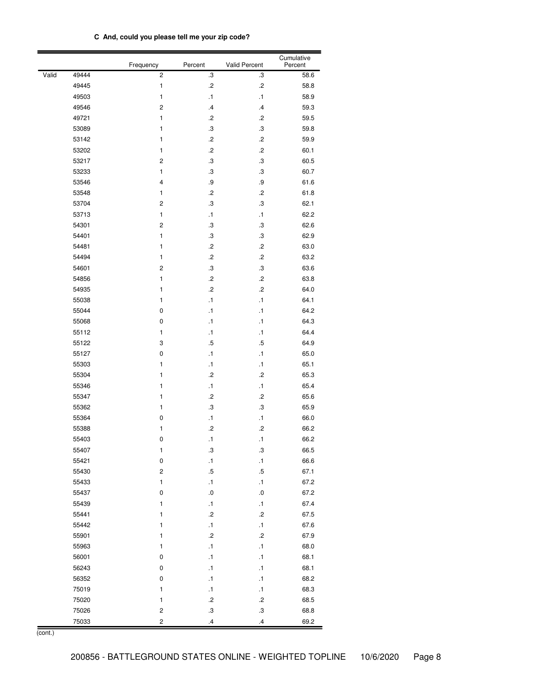| C And, could you please tell me your zip code? |
|------------------------------------------------|
|------------------------------------------------|

|       |       | Frequency               | Percent           | Valid Percent     | Cumulative<br>Percent |
|-------|-------|-------------------------|-------------------|-------------------|-----------------------|
| Valid | 49444 | $\overline{c}$          | $\boldsymbol{.3}$ | .3                | 58.6                  |
|       | 49445 | $\mathbf{1}$            | $\cdot$           | $\cdot$           | 58.8                  |
|       | 49503 | 1                       | .1                | $\cdot$ 1         | 58.9                  |
|       | 49546 | 2                       | $\cdot$ 4         | $\cdot$ 4         | 59.3                  |
|       | 49721 | 1                       | .2                | .2                | 59.5                  |
|       | 53089 | 1                       | .3                | $\boldsymbol{.3}$ | 59.8                  |
|       | 53142 | 1                       | $\cdot$           | $\cdot$           | 59.9                  |
|       | 53202 | 1                       | .2                | $\cdot$           | 60.1                  |
|       | 53217 | $\overline{\mathbf{c}}$ | .3                | $\boldsymbol{.3}$ | 60.5                  |
|       | 53233 | 1                       | .3                | $\boldsymbol{.3}$ | 60.7                  |
|       | 53546 | 4                       | .9                | $\cdot 9$         | 61.6                  |
|       | 53548 | 1                       | $\cdot$           | $\cdot$           | 61.8                  |
|       | 53704 | $\overline{c}$          | $\cdot$ 3         | $\boldsymbol{.3}$ | 62.1                  |
|       | 53713 | 1                       | $\cdot$ 1         | $\cdot$ 1         | 62.2                  |
|       | 54301 | $\overline{\mathbf{c}}$ | $\cdot$           | $\boldsymbol{.3}$ | 62.6                  |
|       | 54401 | 1                       | $\cdot$ 3         | $\boldsymbol{.3}$ | 62.9                  |
|       | 54481 | 1                       | $\cdot$           | $\cdot$           | 63.0                  |
|       | 54494 | $\mathbf{1}$            | $\cdot$           | $\cdot$           | 63.2                  |
|       | 54601 | $\overline{c}$          | $\cdot$ 3         | З.                | 63.6                  |
|       | 54856 | 1                       | $\cdot$           | $\cdot$           | 63.8                  |
|       | 54935 | 1                       | $\cdot$           | $\cdot$           | 64.0                  |
|       | 55038 | 1                       | $\cdot$ 1         | $\cdot$ 1         | 64.1                  |
|       | 55044 | $\pmb{0}$               | $\cdot$ 1         | $\cdot$ 1         | 64.2                  |
|       | 55068 | 0                       | $\cdot$ 1         | $\cdot$ 1         | 64.3                  |
|       | 55112 | 1                       | $\cdot$ 1         | $\cdot$ 1         | 64.4                  |
|       | 55122 | 3                       | $.5\,$            | $.5\,$            | 64.9                  |
|       | 55127 | 0                       | $\cdot$ 1         | $\cdot$ 1         | 65.0                  |
|       | 55303 | 1                       | $\cdot$ 1         | $\cdot$ 1         | 65.1                  |
|       | 55304 | 1                       | $\cdot$           | $\cdot$           | 65.3                  |
|       | 55346 | 1                       | $\cdot$ 1         | $\cdot$ 1         | 65.4                  |
|       | 55347 | 1                       | $\cdot$           | .2                | 65.6                  |
|       | 55362 | 1                       | .3                | .3                | 65.9                  |
|       | 55364 | 0                       | $\cdot$ 1         | $\cdot$ 1         | 66.0                  |
|       | 55388 | 1                       | $\cdot$           | $\cdot$           | 66.2                  |
|       | 55403 | 0                       | $\cdot$ 1         | $\cdot$ 1         | 66.2                  |
|       | 55407 | $\mathbf{1}$            | $\cdot$ 3         | .3                | 66.5                  |
|       | 55421 | $\mathbf 0$             | $\cdot$ 1         | $\cdot$ 1         | 66.6                  |
|       | 55430 | $\mathbf 2$             | $.5\,$            | $.5\,$            | 67.1                  |
|       | 55433 | 1                       | $\cdot$ 1         | $\cdot$ 1         | 67.2                  |
|       | 55437 | $\pmb{0}$               | $\cdot$ $\!0$     | $\cdot 0$         | 67.2                  |
|       | 55439 | 1                       | $\cdot$ 1         | $\cdot$ 1         | 67.4                  |
|       | 55441 | 1                       | $\cdot$           | $\cdot$           | 67.5                  |
|       | 55442 | $\mathbf{1}$            | $\cdot$ 1         | $\cdot$ 1         | 67.6                  |
|       | 55901 | 1                       | $.2\,$            | $\cdot$           | 67.9                  |
|       | 55963 | 1                       | $\cdot$ 1         | $\cdot$ 1         | 68.0                  |
|       | 56001 | $\pmb{0}$               | $\cdot$ 1         | $\cdot$ 1         | 68.1                  |
|       | 56243 | $\pmb{0}$               | $\cdot$ 1         | $\cdot$ 1         | 68.1                  |
|       | 56352 | $\pmb{0}$               | $\cdot$ 1         | $\cdot$ 1         | 68.2                  |
|       | 75019 | $\mathbf{1}$            | $\cdot$ 1         | $\cdot$ 1         | 68.3                  |
|       | 75020 | $\mathbf{1}$            | $.2\,$            | $\cdot$           | 68.5                  |
|       | 75026 | $\sqrt{2}$              | $\boldsymbol{.3}$ | $\boldsymbol{.3}$ | 68.8                  |
|       | 75033 | $\overline{\mathbf{c}}$ | $\overline{a}$    | $\overline{a}$    | 69.2                  |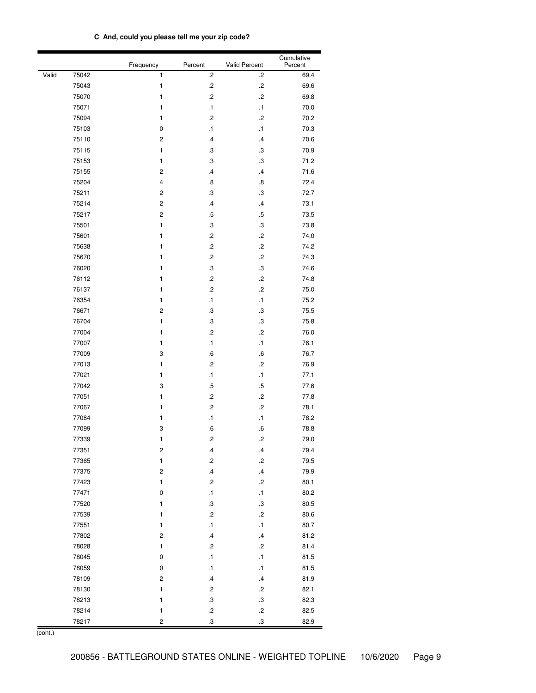| C And, could you please tell me your zip code? |
|------------------------------------------------|
|------------------------------------------------|

|       |       | Frequency               | Percent           | <b>Valid Percent</b> | Cumulative<br>Percent |
|-------|-------|-------------------------|-------------------|----------------------|-----------------------|
| Valid | 75042 | 1                       | $\cdot$           | $\cdot$              | 69.4                  |
|       | 75043 | 1                       | $\cdot$           | $\cdot$              | 69.6                  |
|       | 75070 | 1                       | .2                | .2                   | 69.8                  |
|       | 75071 | 1                       | $\cdot$ 1         | $\cdot$ 1            | 70.0                  |
|       | 75094 | 1                       | $\cdot$           | $\overline{c}$       | 70.2                  |
|       | 75103 | 0                       | $\cdot$ 1         | $\cdot$ 1            | 70.3                  |
|       | 75110 | 2                       | $\cdot$ 4         | $\cdot$ 4            | 70.6                  |
|       | 75115 | 1                       | .3                | .3                   | 70.9                  |
|       | 75153 | 1                       | .3                | .3                   | 71.2                  |
|       | 75155 | $\overline{c}$          | $\cdot$ 4         | $\cdot$ 4            | 71.6                  |
|       | 75204 | 4                       | $\boldsymbol{.8}$ | $\boldsymbol{.8}$    | 72.4                  |
|       | 75211 | $\mathbf 2$             | $\cdot$ 3         | $\cdot$ 3            | 72.7                  |
|       | 75214 | $\mathbf 2$             | $\cdot$ 4         | $\cdot$              | 73.1                  |
|       | 75217 | $\mathbf 2$             | .5                | .5                   | 73.5                  |
|       | 75501 | 1                       | $\cdot$           | $\cdot$ 3            | 73.8                  |
|       | 75601 | 1                       | $\cdot$           | $\cdot$              | 74.0                  |
|       | 75638 | 1                       | $\cdot$           | $\cdot$              | 74.2                  |
|       | 75670 | 1                       | $\cdot$           | $\cdot$              | 74.3                  |
|       | 76020 | 1                       | $\cdot$ 3         | $\cdot$ 3            | 74.6                  |
|       | 76112 | 1                       | $\cdot$           | $\cdot$              | 74.8                  |
|       | 76137 | 1                       | $\cdot$           | $\cdot^2$            | 75.0                  |
|       | 76354 | 1                       | $\cdot$ 1         | $\cdot$ 1            | 75.2                  |
|       | 76671 | $\overline{c}$          | .3                | .3                   | 75.5                  |
|       | 76704 | 1                       | .3                | .3                   | 75.8                  |
|       | 77004 | 1                       | .2                | $\cdot$              | 76.0                  |
|       | 77007 | 1                       | $\cdot$ 1         | $\cdot$ 1            | 76.1                  |
|       | 77009 | 3                       | .6                | .6                   | 76.7                  |
|       | 77013 | 1                       | .2                | $\cdot$              | 76.9                  |
|       | 77021 | 1                       | $\cdot$ 1         | $\cdot$ 1            | 77.1                  |
|       | 77042 | 3                       | $.5\,$            | .5                   | 77.6                  |
|       | 77051 | 1                       | $\cdot$           | $\cdot$              | 77.8                  |
|       | 77067 | 1                       | $\cdot$           | $\cdot$              | 78.1                  |
|       | 77084 | 1                       | $\cdot$ 1         | $\cdot$ 1            | 78.2                  |
|       | 77099 | 3                       | .6                | .6                   | 78.8                  |
|       | 77339 | 1                       | $\cdot$           | $\cdot$              | 79.0                  |
|       | 77351 | $\boldsymbol{2}$        | $\cdot$ 4         | $\cdot$              | 79.4                  |
|       | 77365 | $\mathbf{1}$            | $\cdot$           | $\cdot$              | 79.5                  |
|       | 77375 | $\mathbf 2$             | $\mathcal A$      | $\cdot$ 4            | 79.9                  |
|       | 77423 | $\mathbf{1}$            | $.2\,$            | $\cdot$              | 80.1                  |
|       | 77471 | 0                       | $\cdot$ 1         | $\cdot$ 1            | 80.2                  |
|       | 77520 | 1                       | $_{\rm .3}$       | $_{\rm 3}$           | 80.5                  |
|       | 77539 | 1                       | $\cdot$           | $\cdot$              | 80.6                  |
|       | 77551 | $\mathbf{1}$            | $\cdot$ 1         | $\cdot$ 1            | 80.7                  |
|       | 77802 | $\mathbf 2$             | $\cdot$ 4         | $\cdot$              | 81.2                  |
|       | 78028 | $\mathbf{1}$            | $\cdot$           | $\cdot$              | 81.4                  |
|       | 78045 | $\pmb{0}$               | $\cdot$ 1         | $\cdot$ 1            | 81.5                  |
|       | 78059 | $\pmb{0}$               | $\cdot$ 1         | $\cdot$ 1            | 81.5                  |
|       | 78109 | $\mathbf 2$             | $\cdot$ 4         | $\cdot$ 4            | 81.9                  |
|       | 78130 | 1                       | $.2\,$            | $\cdot$              | 82.1                  |
|       | 78213 | 1                       | $_{\rm .3}$       | $\boldsymbol{.3}$    | 82.3                  |
|       | 78214 | $\mathbf{1}$            | $.2\,$            | $\cdot$              | 82.5                  |
|       | 78217 | $\overline{\mathbf{c}}$ | .3                | $\cdot$              | 82.9                  |

(cont.)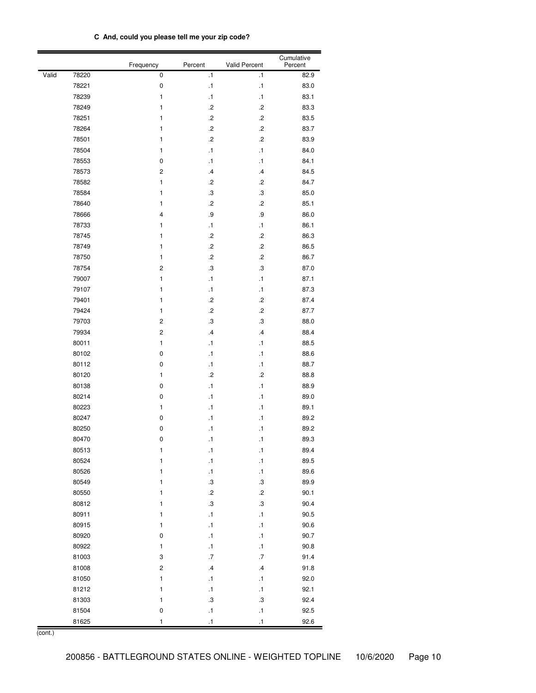|  | C And, could you please tell me your zip code? |  |  |  |  |  |
|--|------------------------------------------------|--|--|--|--|--|
|--|------------------------------------------------|--|--|--|--|--|

|       |       | Frequency               | Percent           | <b>Valid Percent</b> | Cumulative<br>Percent |
|-------|-------|-------------------------|-------------------|----------------------|-----------------------|
| Valid | 78220 | 0                       | $\cdot$ 1         | $\cdot$ 1            | 82.9                  |
|       | 78221 | 0                       | $\cdot$ 1         | $\cdot$ 1            | 83.0                  |
|       | 78239 | $\mathbf{1}$            | $\cdot$ 1         | $\cdot$ 1            | 83.1                  |
|       | 78249 | 1                       | .2                | .2                   | 83.3                  |
|       | 78251 | 1                       | $\cdot$           | $\cdot$              | 83.5                  |
|       | 78264 | 1                       | $\cdot$           | $\cdot$              | 83.7                  |
|       | 78501 | 1                       | $\cdot$           | $\cdot$              | 83.9                  |
|       | 78504 | 1                       | $\cdot$ 1         | $\cdot$ 1            | 84.0                  |
|       | 78553 | 0                       | $\cdot$ 1         | $\cdot$ 1            | 84.1                  |
|       | 78573 | 2                       | $\cdot$ 4         | .4                   | 84.5                  |
|       | 78582 | 1                       | $\cdot$           | $\cdot$              | 84.7                  |
|       | 78584 | 1                       | $\cdot$ 3         | $\boldsymbol{.3}$    | 85.0                  |
|       | 78640 | 1                       | $\cdot$           | $\cdot$              | 85.1                  |
|       | 78666 | $\overline{4}$          | .9                | .9                   | 86.0                  |
|       | 78733 | 1                       | $\cdot$ 1         | $\cdot$ 1            | 86.1                  |
|       | 78745 | 1                       | $\cdot$           | $\cdot$              | 86.3                  |
|       | 78749 | 1                       | $\cdot$           | $\cdot$              | 86.5                  |
|       | 78750 | $\mathbf{1}$            | $\cdot$           | $\cdot$              | 86.7                  |
|       | 78754 | $\overline{\mathbf{c}}$ | $\cdot$ 3         | $\cdot$ 3            | 87.0                  |
|       | 79007 | 1                       | $\cdot$ 1         | $\cdot$ 1            | 87.1                  |
|       | 79107 | 1                       | $\cdot$ 1         | $\cdot$ 1            | 87.3                  |
|       | 79401 | 1                       | $\cdot$           | $\cdot$              | 87.4                  |
|       | 79424 | 1                       | $\cdot$           | $\cdot^2$            | 87.7                  |
|       | 79703 | $\overline{c}$          | $\cdot$           | $\cdot$ 3            | 88.0                  |
|       | 79934 | $\overline{c}$          | $\cdot$ 4         | $\cdot$              | 88.4                  |
|       | 80011 | $\mathbf{1}$            | $\cdot$ 1         | $\cdot$ 1            | 88.5                  |
|       | 80102 | 0                       | $\cdot$ 1         | $\cdot$ 1            | 88.6                  |
|       | 80112 | 0                       | $\cdot$ 1         | $\cdot$ 1            | 88.7                  |
|       | 80120 | 1                       | $\cdot$           | $\cdot$              | 88.8                  |
|       | 80138 | 0                       | $\cdot$ 1         | $\cdot$ 1            | 88.9                  |
|       | 80214 | 0                       | $\cdot$ 1         | $\cdot$ 1            | 89.0                  |
|       | 80223 | 1                       | $\cdot$ 1         | $\cdot$ 1            | 89.1                  |
|       | 80247 | 0                       | $\cdot$ 1         | $\cdot$ 1            | 89.2                  |
|       | 80250 | 0                       | $\cdot$ 1         | $\cdot$ 1            | 89.2                  |
|       | 80470 | 0                       | $\cdot$ 1         | $\cdot$ 1            | 89.3                  |
|       | 80513 | 1                       | $\cdot$ 1         | $\cdot$ 1            | 89.4                  |
|       | 80524 | $\mathbf{1}$            | $\cdot$ 1         | $\cdot$              | 89.5                  |
|       | 80526 | $\mathbf{1}$            | $\cdot$ 1         | $\cdot$ 1            | 89.6                  |
|       | 80549 | $\mathbf{1}$            | $\boldsymbol{.3}$ | $_{\rm 3}$           | 89.9                  |
|       | 80550 | $\mathbf{1}$            | $\cdot$           | $\cdot$              | 90.1                  |
|       | 80812 | $\mathbf{1}$            | $\boldsymbol{.3}$ | $\boldsymbol{.3}$    | 90.4                  |
|       | 80911 | $\mathbf{1}$            | $\cdot$ 1         | $\cdot$ 1            | 90.5                  |
|       | 80915 | $\mathbf{1}$            | $\cdot$ 1         | $\cdot$ 1            | 90.6                  |
|       | 80920 | 0                       | $\cdot$ 1         | $\cdot$ 1            | 90.7                  |
|       | 80922 | $\mathbf{1}$            | $\cdot$ 1         | $\cdot$ 1            | 90.8                  |
|       | 81003 | 3                       | .7                | .7                   | 91.4                  |
|       | 81008 | $\overline{\mathbf{c}}$ | $\cdot$           | $\cdot$ 4            | 91.8                  |
|       | 81050 | $\mathbf{1}$            | $\cdot$ 1         | $\cdot$ 1            | 92.0                  |
|       | 81212 | $\mathbf{1}$            | $\cdot$ 1         | $\cdot$ 1            | 92.1                  |
|       | 81303 | $\mathbf{1}$            | $\cdot$           | $\boldsymbol{.3}$    | 92.4                  |
|       | 81504 | 0                       | $\cdot$ 1         | $\cdot$ 1            | 92.5                  |
|       | 81625 | 1                       | $\cdot$ 1         | $\cdot$ 1            | 92.6                  |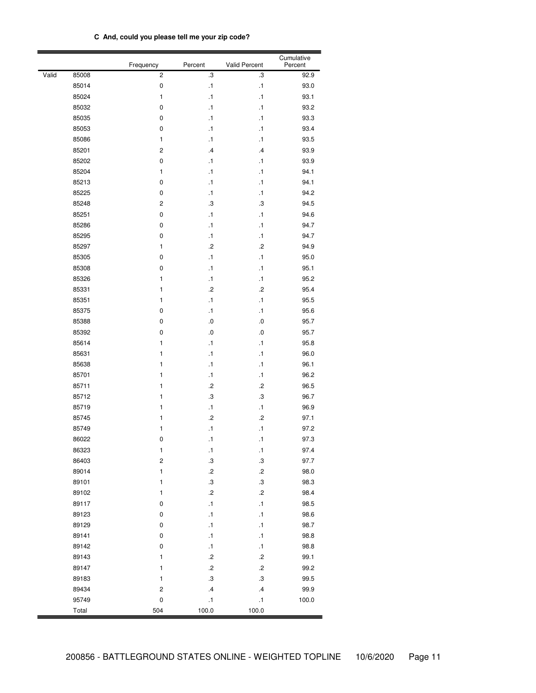| C And, could you please tell me your zip code? |
|------------------------------------------------|
|------------------------------------------------|

|       |       | Frequency               | Percent           | Valid Percent     | Cumulative<br>Percent |
|-------|-------|-------------------------|-------------------|-------------------|-----------------------|
| Valid | 85008 | 2                       | .3                | З.                | 92.9                  |
|       | 85014 | $\pmb{0}$               | $\cdot$ 1         | $\cdot$ 1         | 93.0                  |
|       | 85024 | 1                       | .1                | $\cdot$ 1         | 93.1                  |
|       | 85032 | 0                       | .1                | $\cdot$ 1         | 93.2                  |
|       | 85035 | 0                       | $\cdot$ 1         | $\cdot$ 1         | 93.3                  |
|       | 85053 | 0                       | $\cdot$ 1         | $\cdot$ 1         | 93.4                  |
|       | 85086 | 1                       | $\cdot$ 1         | $\cdot$ 1         | 93.5                  |
|       | 85201 | $\overline{\mathbf{c}}$ | $\cdot$           | $\cdot$           | 93.9                  |
|       | 85202 | 0                       | $\cdot$ 1         | $\cdot$ 1         | 93.9                  |
|       | 85204 | 1                       | $\cdot$ 1         | $\cdot$ 1         | 94.1                  |
|       | 85213 | $\pmb{0}$               | $\cdot$ 1         | $\cdot$ 1         | 94.1                  |
|       | 85225 | 0                       | $\cdot$ 1         | $\cdot$ 1         | 94.2                  |
|       | 85248 | $\mathbf 2$             | .3                | З.                | 94.5                  |
|       | 85251 | 0                       | $\cdot$ 1         | .1                | 94.6                  |
|       | 85286 | 0                       | $\cdot$ 1         | $\cdot$ 1         | 94.7                  |
|       | 85295 | 0                       | $\cdot$ 1         | .1                | 94.7                  |
|       | 85297 | 1                       | $\cdot$           | $\overline{c}$    | 94.9                  |
|       | 85305 | 0                       | $\cdot$ 1         | .1                | 95.0                  |
|       | 85308 | 0                       | $\cdot$ 1         | .1                | 95.1                  |
|       | 85326 | 1                       | $\cdot$ 1         | .1                | 95.2                  |
|       | 85331 | 1                       | $\cdot$           | $\overline{c}$    | 95.4                  |
|       | 85351 | 1                       | $\cdot$ 1         | $\cdot$ 1         | 95.5                  |
|       | 85375 | 0                       | $\cdot$ 1         | $\cdot$ 1         | 95.6                  |
|       | 85388 | 0                       | $\cdot 0$         | .0                | 95.7                  |
|       | 85392 | 0                       | $\cdot 0$         | .0                | 95.7                  |
|       | 85614 | 1                       | $\cdot$ 1         | .1                | 95.8                  |
|       | 85631 | 1                       | $\cdot$ 1         | $\cdot$ 1         | 96.0                  |
|       | 85638 | 1                       | $\cdot$ 1         | $\cdot$ 1         | 96.1                  |
|       | 85701 | 1                       | $\cdot$ 1         | $\cdot$ 1         | 96.2                  |
|       | 85711 | 1                       | .2                | $\cdot$           | 96.5                  |
|       | 85712 | 1                       | .3                | З.                | 96.7                  |
|       | 85719 | 1                       | $\cdot$ 1         | $\cdot$ 1         | 96.9                  |
|       | 85745 | 1                       | $\cdot$           | $\cdot$           | 97.1                  |
|       | 85749 | 1                       | $\cdot$ 1         | $\cdot$ 1         | 97.2                  |
|       | 86022 | 0                       | $\cdot$ 1         | $\cdot$ 1         | 97.3                  |
|       | 86323 | 1                       | $\cdot$ 1         | $\cdot$ 1         | 97.4                  |
|       | 86403 | $\overline{\mathbf{c}}$ | $\boldsymbol{.3}$ | $\boldsymbol{.3}$ | 97.7                  |
|       | 89014 | 1                       | $\cdot$           | $\cdot$           | 98.0                  |
|       | 89101 | 1                       | $\cdot$ 3         | $\cdot$ 3         | 98.3                  |
|       | 89102 | 1                       | $\cdot$           | $\cdot$           | 98.4                  |
|       | 89117 | 0                       | $\cdot$ 1         | $\cdot$ 1         | 98.5                  |
|       | 89123 | 0                       | $\cdot$ 1         | $\cdot$ 1         | 98.6                  |
|       | 89129 | $\pmb{0}$               | .1                | $\cdot$ 1         | 98.7                  |
|       | 89141 | $\pmb{0}$               | $\cdot$ 1         | $\cdot$ 1         | 98.8                  |
|       | 89142 | 0                       | $\cdot$ 1         | $\cdot$ 1         | 98.8                  |
|       | 89143 | 1                       | $\cdot$           | $\cdot$           | 99.1                  |
|       | 89147 | 1                       | $\cdot$           | $\cdot$           | 99.2                  |
|       | 89183 | 1                       | $\cdot$ 3         | $\cdot$ 3         | 99.5                  |
|       | 89434 | $\boldsymbol{2}$        | $\cdot$ 4         | $\cdot$           | 99.9                  |
|       | 95749 | 0                       | $\cdot$ 1         | $\cdot$ 1         | 100.0                 |
|       | Total | 504                     | 100.0             | 100.0             |                       |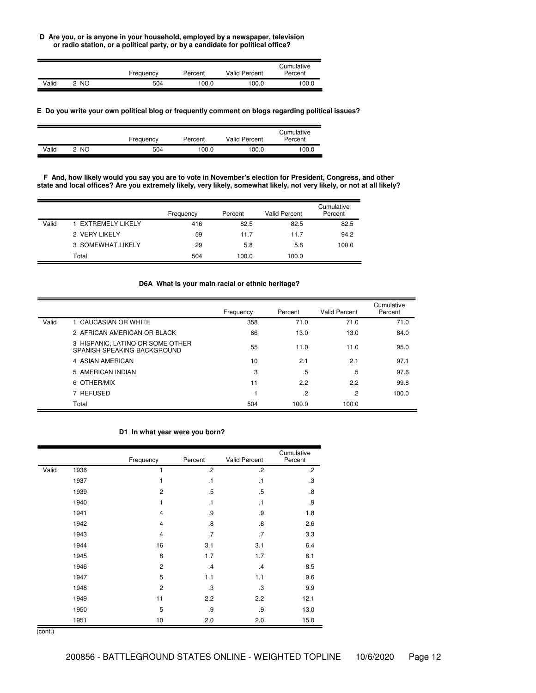**D Are you, or is anyone in your household, employed by a newspaper, television or radio station, or a political party, or by a candidate for political office?**

|       |    | Frequency | Percent | <b>Valid Percent</b> | Cumulative<br>Percent |
|-------|----|-----------|---------|----------------------|-----------------------|
| Valid | NO | 504       | 100.0   | 100.0                | 100.0                 |

## **E Do you write your own political blog or frequently comment on blogs regarding political issues?**

|       |     | Frequency | Percent | Valid Percent | Cumulative<br>Percent |
|-------|-----|-----------|---------|---------------|-----------------------|
| Valid | NO. | 504       | 100.0   | 100.0         | 100.0                 |

F And, how likely would you say you are to vote in November's election for President, Congress, and other state and local offices? Are you extremely likely, very likely, somewhat likely, not very likely, or not at all likely?

|       |                   | Frequency | Percent | <b>Valid Percent</b> | Cumulative<br>Percent |
|-------|-------------------|-----------|---------|----------------------|-----------------------|
| Valid | EXTREMELY LIKELY  | 416       | 82.5    | 82.5                 | 82.5                  |
|       | 2 VERY LIKELY     | 59        | 11.7    | 11.7                 | 94.2                  |
|       | 3 SOMEWHAT LIKELY | 29        | 5.8     | 5.8                  | 100.0                 |
|       | Total             | 504       | 100.0   | 100.0                |                       |

## **D6A What is your main racial or ethnic heritage?**

|       |                                                                 | Frequency | Percent | Valid Percent | Cumulative<br>Percent |
|-------|-----------------------------------------------------------------|-----------|---------|---------------|-----------------------|
| Valid | 1 CAUCASIAN OR WHITE                                            | 358       | 71.0    | 71.0          | 71.0                  |
|       | 2 AFRICAN AMERICAN OR BLACK                                     | 66        | 13.0    | 13.0          | 84.0                  |
|       | 3 HISPANIC, LATINO OR SOME OTHER<br>SPANISH SPEAKING BACKGROUND | 55        | 11.0    | 11.0          | 95.0                  |
|       | 4 ASIAN AMERICAN                                                | 10        | 2.1     | 2.1           | 97.1                  |
|       | 5 AMERICAN INDIAN                                               | 3         | .5      | .5            | 97.6                  |
|       | 6 OTHER/MIX                                                     | 11        | 2.2     | 2.2           | 99.8                  |
|       | 7 REFUSED                                                       |           | $\cdot$ | $\cdot$       | 100.0                 |
|       | Total                                                           | 504       | 100.0   | 100.0         |                       |

## **D1 In what year were you born?**

|       |      | Frequency      | Percent           | Valid Percent | Cumulative<br>Percent |
|-------|------|----------------|-------------------|---------------|-----------------------|
| Valid | 1936 | 1              | $\cdot$           | $\cdot$       | $\cdot$               |
|       | 1937 | 1              | $\cdot$ 1         | $\cdot$ 1     | $\cdot$ 3             |
|       | 1939 | $\overline{2}$ | .5                | .5            | $\boldsymbol{.8}$     |
|       | 1940 | 1              | $\cdot$ 1         | $\cdot$ 1     | .9                    |
|       | 1941 | 4              | .9                | .9            | 1.8                   |
|       | 1942 | 4              | $\boldsymbol{.8}$ | .8            | 2.6                   |
|       | 1943 | 4              | .7                | .7            | 3.3                   |
|       | 1944 | 16             | 3.1               | 3.1           | 6.4                   |
|       | 1945 | 8              | 1.7               | 1.7           | 8.1                   |
|       | 1946 | $\overline{c}$ | .4                | .4            | 8.5                   |
|       | 1947 | 5              | 1.1               | 1.1           | 9.6                   |
|       | 1948 | $\overline{c}$ | .3                | .3            | 9.9                   |
|       | 1949 | 11             | 2.2               | 2.2           | 12.1                  |
|       | 1950 | 5              | .9                | .9            | 13.0                  |
|       | 1951 | 10             | 2.0               | 2.0           | 15.0                  |

(cont.)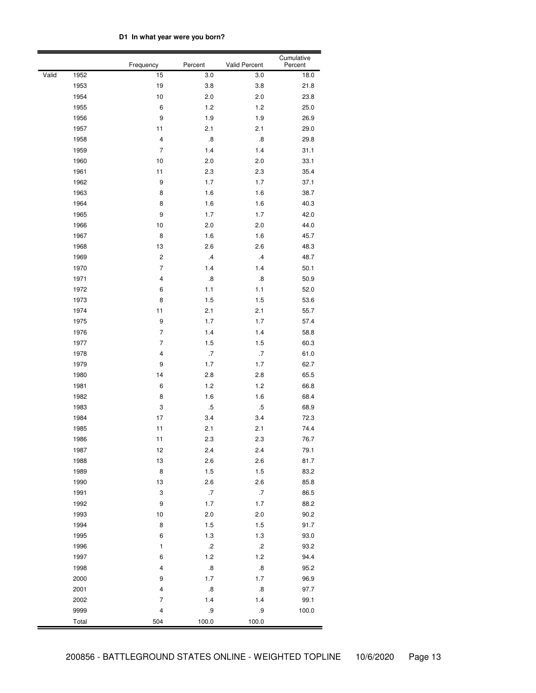# **D1 In what year were you born?**

|       |       | Frequency               | Percent           |                   | Cumulative<br>Percent |
|-------|-------|-------------------------|-------------------|-------------------|-----------------------|
| Valid | 1952  | 15                      | 3.0               | 3.0               | 18.0                  |
|       | 1953  | 19                      | 3.8               | 3.8               | 21.8                  |
|       | 1954  | 10                      | 2.0               | 2.0               | 23.8                  |
|       | 1955  | 6                       | 1.2               | 1.2               | 25.0                  |
|       | 1956  | 9                       | 1.9               | 1.9               | 26.9                  |
|       | 1957  | 11                      | 2.1               | 2.1               | 29.0                  |
|       | 1958  | $\overline{\mathbf{4}}$ | $\boldsymbol{.8}$ | $\boldsymbol{.8}$ | 29.8                  |
|       | 1959  | $\overline{7}$          | 1.4               | 1.4               | 31.1                  |
|       | 1960  | 10                      | 2.0               | 2.0               | 33.1                  |
|       | 1961  | 11                      | 2.3               | 2.3               | 35.4                  |
|       | 1962  | 9                       | 1.7               | 1.7               | 37.1                  |
|       | 1963  | 8                       | 1.6               | 1.6               | 38.7                  |
|       | 1964  | 8                       | 1.6               | 1.6               | 40.3                  |
|       | 1965  | 9                       | 1.7               | 1.7               | 42.0                  |
|       | 1966  | 10                      | 2.0               | 2.0               | 44.0                  |
|       | 1967  | 8                       | 1.6               | 1.6               | 45.7                  |
|       | 1968  | 13                      | 2.6               | 2.6               | 48.3                  |
|       | 1969  | $\overline{\mathbf{c}}$ | $\cdot$           | $\cdot$           | 48.7                  |
|       | 1970  | $\overline{7}$          | 1.4               | 1.4               | 50.1                  |
|       | 1971  | 4                       | $\boldsymbol{.8}$ | $\boldsymbol{.8}$ | 50.9                  |
|       | 1972  | 6                       | 1.1               | 1.1               | 52.0                  |
|       | 1973  | 8                       | 1.5               | 1.5               | 53.6                  |
|       | 1974  | 11                      | 2.1               | 2.1               | 55.7                  |
|       | 1975  | 9                       | 1.7               | 1.7               | 57.4                  |
|       | 1976  | 7                       | 1.4               | 1.4               | 58.8                  |
|       | 1977  | 7                       | 1.5               | 1.5               | 60.3                  |
|       | 1978  | 4                       | .7                | .7                | 61.0                  |
|       | 1979  | 9                       | 1.7               | 1.7               | 62.7                  |
|       | 1980  | 14                      | 2.8               | 2.8               | 65.5                  |
|       | 1981  | 6                       | 1.2               | 1.2               | 66.8                  |
|       | 1982  | 8                       | 1.6               | 1.6               | 68.4                  |
|       | 1983  | 3                       | $.5\,$            | $.5\,$            | 68.9                  |
|       | 1984  | 17                      | 3.4               | 3.4               | 72.3                  |
|       | 1985  | 11                      | 2.1               | 2.1               | 74.4                  |
|       | 1986  | 11                      | 2.3               | 2.3               | 76.7                  |
|       | 1987  | 12                      | 2.4               | 2.4               | 79.1                  |
|       | 1988  | 13                      | 2.6               | 2.6               | 81.7                  |
|       | 1989  | 8                       | 1.5               | 1.5               | 83.2                  |
|       | 1990  | 13                      | 2.6               | 2.6               | 85.8                  |
|       | 1991  | 3                       | .7                | .7                | 86.5                  |
|       | 1992  | 9                       | $1.7$             | 1.7               | 88.2                  |
|       | 1993  | $10$                    | 2.0               | 2.0               | 90.2                  |
|       | 1994  | 8                       | 1.5               | 1.5               | 91.7                  |
|       | 1995  | 6                       | 1.3               | $1.3$             | 93.0                  |
|       | 1996  | $\mathbf{1}$            | $\cdot$           | $\cdot$           | 93.2                  |
|       | 1997  | 6                       | $1.2$             | 1.2               | 94.4                  |
|       | 1998  | $\overline{\mathbf{4}}$ | $\boldsymbol{.8}$ | $\boldsymbol{.8}$ | 95.2                  |
|       | 2000  | 9                       | 1.7               | 1.7               | 96.9                  |
|       | 2001  | $\overline{\mathbf{4}}$ | $\boldsymbol{.8}$ | $\boldsymbol{.8}$ | 97.7                  |
|       | 2002  | 7                       | 1.4               | 1.4               | 99.1                  |
|       | 9999  | 4                       | .9                | .9                | 100.0                 |
|       | Total | 504                     | 100.0             | 100.0             |                       |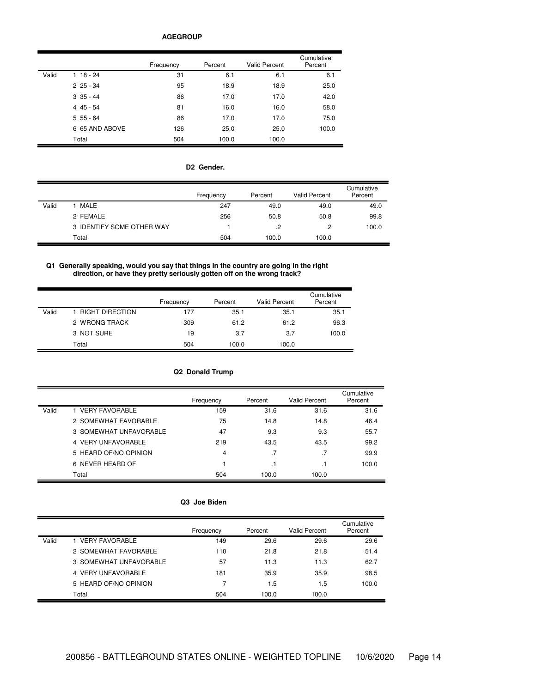#### **AGEGROUP**

|       |                | Frequency | Percent | <b>Valid Percent</b> | Cumulative<br>Percent |
|-------|----------------|-----------|---------|----------------------|-----------------------|
| Valid | $18 - 24$      | 31        | 6.1     | 6.1                  | 6.1                   |
|       | $225 - 34$     | 95        | 18.9    | 18.9                 | 25.0                  |
|       | $335 - 44$     | 86        | 17.0    | 17.0                 | 42.0                  |
|       | $445 - 54$     | 81        | 16.0    | 16.0                 | 58.0                  |
|       | $555 - 64$     | 86        | 17.0    | 17.0                 | 75.0                  |
|       | 6 65 AND ABOVE | 126       | 25.0    | 25.0                 | 100.0                 |
|       | Total          | 504       | 100.0   | 100.0                |                       |

## **D2 Gender.**

|       |                           | Frequency | Percent | <b>Valid Percent</b> | Cumulative<br>Percent |
|-------|---------------------------|-----------|---------|----------------------|-----------------------|
| Valid | MALE                      | 247       | 49.0    | 49.0                 | 49.0                  |
|       | 2 FEMALE                  | 256       | 50.8    | 50.8                 | 99.8                  |
|       | 3 IDENTIFY SOME OTHER WAY |           | $\cdot$ | $\cdot$              | 100.0                 |
|       | Total                     | 504       | 100.0   | 100.0                |                       |

## **Q1 Generally speaking, would you say that things in the country are going in the right direction, or have they pretty seriously gotten off on the wrong track?**

|       |                   | Frequency | Percent | <b>Valid Percent</b> | Cumulative<br>Percent |
|-------|-------------------|-----------|---------|----------------------|-----------------------|
| Valid | 1 RIGHT DIRECTION | 177       | 35.1    | 35.1                 | 35.1                  |
|       | 2 WRONG TRACK     | 309       | 61.2    | 61.2                 | 96.3                  |
|       | 3 NOT SURE        | 19        | 3.7     | 3.7                  | 100.0                 |
|       | Total             | 504       | 100.0   | 100.0                |                       |

## **Q2 Donald Trump**

|       |                        | Frequency | Percent   | <b>Valid Percent</b> | Cumulative<br>Percent |
|-------|------------------------|-----------|-----------|----------------------|-----------------------|
| Valid | 1 VERY FAVORABLE       | 159       | 31.6      | 31.6                 | 31.6                  |
|       | 2 SOMEWHAT FAVORABLE   | 75        | 14.8      | 14.8                 | 46.4                  |
|       | 3 SOMEWHAT UNFAVORABLE | 47        | 9.3       | 9.3                  | 55.7                  |
|       | 4 VERY UNFAVORABLE     | 219       | 43.5      | 43.5                 | 99.2                  |
|       | 5 HEARD OF/NO OPINION  | 4         | $\cdot$ 7 | .7                   | 99.9                  |
|       | 6 NEVER HEARD OF       |           | . .       |                      | 100.0                 |
|       | Total                  | 504       | 100.0     | 100.0                |                       |

### **Q3 Joe Biden**

|       |                        | Frequency | Percent | Valid Percent | Cumulative<br>Percent |
|-------|------------------------|-----------|---------|---------------|-----------------------|
| Valid | 1 VERY FAVORABLE       | 149       | 29.6    | 29.6          | 29.6                  |
|       | 2 SOMEWHAT FAVORABLE   | 110       | 21.8    | 21.8          | 51.4                  |
|       | 3 SOMEWHAT UNFAVORABLE | 57        | 11.3    | 11.3          | 62.7                  |
|       | 4 VERY UNFAVORABLE     | 181       | 35.9    | 35.9          | 98.5                  |
|       | 5 HEARD OF/NO OPINION  | 7         | 1.5     | 1.5           | 100.0                 |
|       | Total                  | 504       | 100.0   | 100.0         |                       |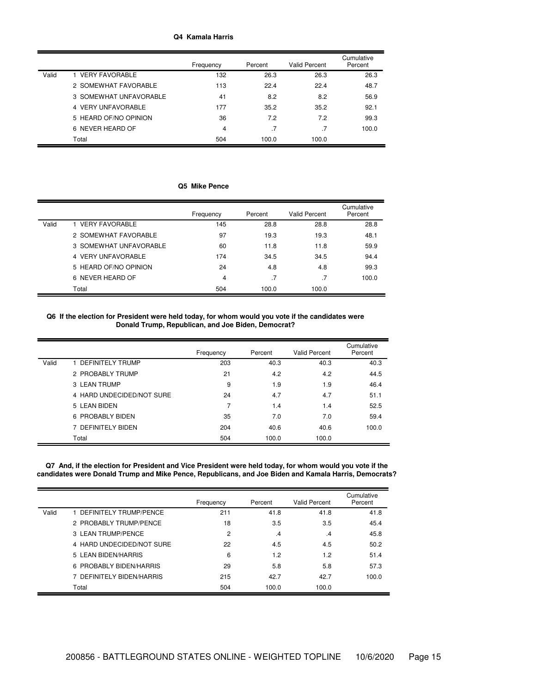### **Q4 Kamala Harris**

|       |                        | Frequency | Percent | <b>Valid Percent</b> | Cumulative<br>Percent |
|-------|------------------------|-----------|---------|----------------------|-----------------------|
| Valid | 1 VERY FAVORABLE       | 132       | 26.3    | 26.3                 | 26.3                  |
|       | 2 SOMEWHAT FAVORABLE   | 113       | 22.4    | 22.4                 | 48.7                  |
|       | 3 SOMEWHAT UNFAVORABLE | 41        | 8.2     | 8.2                  | 56.9                  |
|       | 4 VERY UNFAVORABLE     | 177       | 35.2    | 35.2                 | 92.1                  |
|       | 5 HEARD OF/NO OPINION  | 36        | 7.2     | 7.2                  | 99.3                  |
|       | 6 NEVER HEARD OF       | 4         |         | $\cdot$ 7            | 100.0                 |
|       | Total                  | 504       | 100.0   | 100.0                |                       |

# **Q5 Mike Pence**

|       |                        | Frequency | Percent | <b>Valid Percent</b> | Cumulative<br>Percent |
|-------|------------------------|-----------|---------|----------------------|-----------------------|
| Valid | 1 VERY FAVORABLE       | 145       | 28.8    | 28.8                 | 28.8                  |
|       | 2 SOMEWHAT FAVORABLE   | 97        | 19.3    | 19.3                 | 48.1                  |
|       | 3 SOMEWHAT UNFAVORABLE | 60        | 11.8    | 11.8                 | 59.9                  |
|       | 4 VERY UNFAVORABLE     | 174       | 34.5    | 34.5                 | 94.4                  |
|       | 5 HEARD OF/NO OPINION  | 24        | 4.8     | 4.8                  | 99.3                  |
|       | 6 NEVER HEARD OF       | 4         | .7      | .7                   | 100.0                 |
|       | Total                  | 504       | 100.0   | 100.0                |                       |

**Q6 If the election for President were held today, for whom would you vote if the candidates were Donald Trump, Republican, and Joe Biden, Democrat?**

|       |                           | Frequency | Percent | <b>Valid Percent</b> | Cumulative<br>Percent |
|-------|---------------------------|-----------|---------|----------------------|-----------------------|
| Valid | 1 DEFINITELY TRUMP        | 203       | 40.3    | 40.3                 | 40.3                  |
|       | 2 PROBABLY TRUMP          | 21        | 4.2     | 4.2                  | 44.5                  |
|       | 3 LEAN TRUMP              | 9         | 1.9     | 1.9                  | 46.4                  |
|       | 4 HARD UNDECIDED/NOT SURE | 24        | 4.7     | 4.7                  | 51.1                  |
|       | 5 LEAN BIDEN              | 7         | 1.4     | 1.4                  | 52.5                  |
|       | 6 PROBABLY BIDEN          | 35        | 7.0     | 7.0                  | 59.4                  |
|       | 7 DEFINITELY BIDEN        | 204       | 40.6    | 40.6                 | 100.0                 |
|       | Total                     | 504       | 100.0   | 100.0                |                       |

Q7 And, if the election for President and Vice President were held today, for whom would you vote if the **candidates were Donald Trump and Mike Pence, Republicans, and Joe Biden and Kamala Harris, Democrats?**

|       |                           | Frequency | Percent | <b>Valid Percent</b> | Cumulative<br>Percent |
|-------|---------------------------|-----------|---------|----------------------|-----------------------|
| Valid | 1 DEFINITELY TRUMP/PENCE  | 211       | 41.8    | 41.8                 | 41.8                  |
|       | 2 PROBABLY TRUMP/PENCE    | 18        | 3.5     | 3.5                  | 45.4                  |
|       | 3 LEAN TRUMP/PENCE        | 2         | .4      | .4                   | 45.8                  |
|       | 4 HARD UNDECIDED/NOT SURE | 22        | 4.5     | 4.5                  | 50.2                  |
|       | 5 LEAN BIDEN/HARRIS       | 6         | 1.2     | 1.2                  | 51.4                  |
|       | 6 PROBABLY BIDEN/HARRIS   | 29        | 5.8     | 5.8                  | 57.3                  |
|       | 7 DEFINITELY BIDEN/HARRIS | 215       | 42.7    | 42.7                 | 100.0                 |
|       | Total                     | 504       | 100.0   | 100.0                |                       |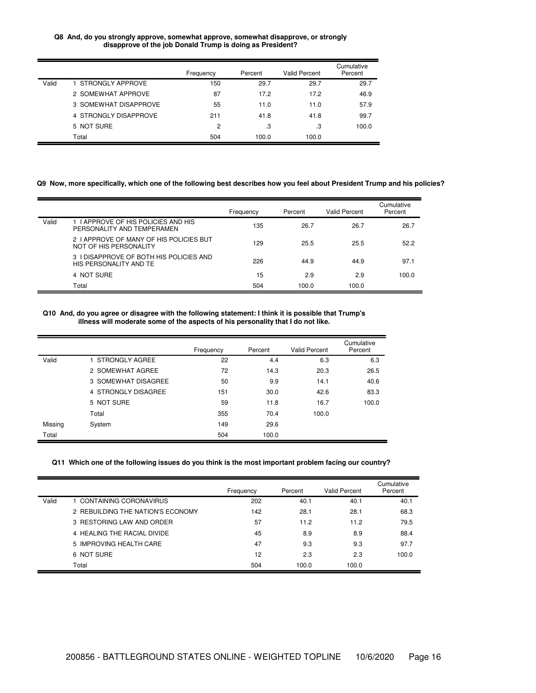### **Q8 And, do you strongly approve, somewhat approve, somewhat disapprove, or strongly disapprove of the job Donald Trump is doing as President?**

|       |                       | Frequency      | Percent | <b>Valid Percent</b> | Cumulative<br>Percent |
|-------|-----------------------|----------------|---------|----------------------|-----------------------|
| Valid | 1 STRONGLY APPROVE    | 150            | 29.7    | 29.7                 | 29.7                  |
|       | 2 SOMEWHAT APPROVE    | 87             | 17.2    | 17.2                 | 46.9                  |
|       | 3 SOMEWHAT DISAPPROVE | 55             | 11.0    | 11.0                 | 57.9                  |
|       | 4 STRONGLY DISAPPROVE | 211            | 41.8    | 41.8                 | 99.7                  |
|       | 5 NOT SURE            | $\overline{c}$ | .3      | .3                   | 100.0                 |
|       | Total                 | 504            | 100.0   | 100.0                |                       |

### Q9 Now, more specifically, which one of the following best describes how you feel about President Trump and his policies?

|       |                                                                   | Frequency | Percent | Valid Percent | Cumulative<br>Percent |
|-------|-------------------------------------------------------------------|-----------|---------|---------------|-----------------------|
| Valid | 1 I APPROVE OF HIS POLICIES AND HIS<br>PERSONALITY AND TEMPERAMEN | 135       | 26.7    | 26.7          | 26.7                  |
|       | 2 I APPROVE OF MANY OF HIS POLICIES BUT<br>NOT OF HIS PERSONALITY | 129       | 25.5    | 25.5          | 52.2                  |
|       | 3 I DISAPPROVE OF BOTH HIS POLICIES AND<br>HIS PERSONALITY AND TE | 226       | 44.9    | 44.9          | 97.1                  |
|       | 4 NOT SURE                                                        | 15        | 2.9     | 2.9           | 100.0                 |
|       | Total                                                             | 504       | 100.0   | 100.0         |                       |

## Q10 And, do you agree or disagree with the following statement: I think it is possible that Trump's **illness will moderate some of the aspects of his personality that I do not like.**

|         |                     | Frequency | Percent | <b>Valid Percent</b> | Cumulative<br>Percent |
|---------|---------------------|-----------|---------|----------------------|-----------------------|
| Valid   | 1 STRONGLY AGREE    | 22        | 4.4     | 6.3                  | 6.3                   |
|         | 2 SOMEWHAT AGREE    | 72        | 14.3    | 20.3                 | 26.5                  |
|         | 3 SOMEWHAT DISAGREE | 50        | 9.9     | 14.1                 | 40.6                  |
|         | 4 STRONGLY DISAGREE | 151       | 30.0    | 42.6                 | 83.3                  |
|         | 5 NOT SURE          | 59        | 11.8    | 16.7                 | 100.0                 |
|         | Total               | 355       | 70.4    | 100.0                |                       |
| Missing | System              | 149       | 29.6    |                      |                       |
| Total   |                     | 504       | 100.0   |                      |                       |

## Q11 Which one of the following issues do you think is the most important problem facing our country?

|       |                                   | Frequency | Percent | Valid Percent | Cumulative<br>Percent |
|-------|-----------------------------------|-----------|---------|---------------|-----------------------|
| Valid | 1 CONTAINING CORONAVIRUS          | 202       | 40.1    | 40.1          | 40.1                  |
|       | 2 REBUILDING THE NATION'S ECONOMY | 142       | 28.1    | 28.1          | 68.3                  |
|       | 3 RESTORING LAW AND ORDER         | 57        | 11.2    | 11.2          | 79.5                  |
|       | 4 HEALING THE RACIAL DIVIDE       | 45        | 8.9     | 8.9           | 88.4                  |
|       | 5 IMPROVING HEALTH CARE           | 47        | 9.3     | 9.3           | 97.7                  |
|       | 6 NOT SURE                        | 12        | 2.3     | 2.3           | 100.0                 |
|       | Total                             | 504       | 100.0   | 100.0         |                       |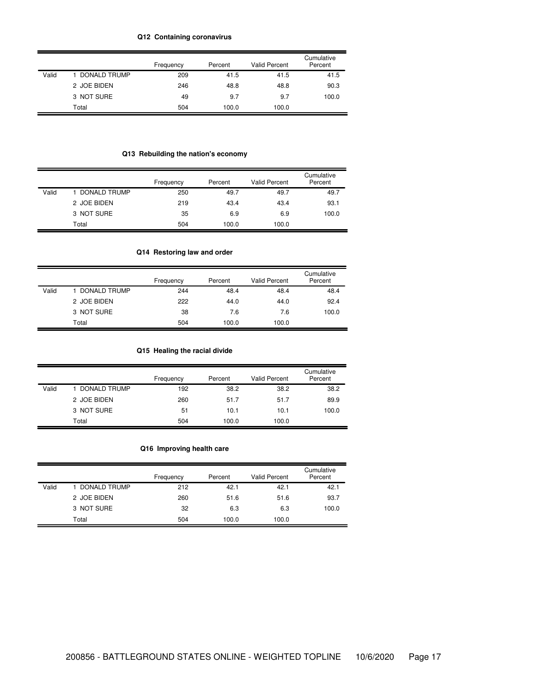## **Q12 Containing coronavirus**

|       |              | Frequency | Percent | <b>Valid Percent</b> | Cumulative<br>Percent |
|-------|--------------|-----------|---------|----------------------|-----------------------|
| Valid | DONALD TRUMP | 209       | 41.5    | 41.5                 | 41.5                  |
|       | 2 JOE BIDEN  | 246       | 48.8    | 48.8                 | 90.3                  |
|       | 3 NOT SURE   | 49        | 9.7     | 9.7                  | 100.0                 |
|       | Total        | 504       | 100.0   | 100.0                |                       |

# **Q13 Rebuilding the nation's economy**

|       |                | Frequency | Percent | <b>Valid Percent</b> | Cumulative<br>Percent |
|-------|----------------|-----------|---------|----------------------|-----------------------|
| Valid | 1 DONALD TRUMP | 250       | 49.7    | 49.7                 | 49.7                  |
|       | 2 JOE BIDEN    | 219       | 43.4    | 43.4                 | 93.1                  |
|       | 3 NOT SURE     | 35        | 6.9     | 6.9                  | 100.0                 |
|       | Total          | 504       | 100.0   | 100.0                |                       |

# **Q14 Restoring law and order**

|       |              | Frequency | Percent | <b>Valid Percent</b> | Cumulative<br>Percent |
|-------|--------------|-----------|---------|----------------------|-----------------------|
| Valid | DONALD TRUMP | 244       | 48.4    | 48.4                 | 48.4                  |
|       | 2 JOE BIDEN  | 222       | 44.0    | 44.0                 | 92.4                  |
|       | 3 NOT SURE   | 38        | 7.6     | 7.6                  | 100.0                 |
|       | Total        | 504       | 100.0   | 100.0                |                       |

# **Q15 Healing the racial divide**

|       |              | Frequency | Percent | <b>Valid Percent</b> | Cumulative<br>Percent |
|-------|--------------|-----------|---------|----------------------|-----------------------|
| Valid | DONALD TRUMP | 192       | 38.2    | 38.2                 | 38.2                  |
|       | 2 JOE BIDEN  | 260       | 51.7    | 51.7                 | 89.9                  |
|       | 3 NOT SURE   | 51        | 10.1    | 10.1                 | 100.0                 |
|       | Total        | 504       | 100.0   | 100.0                |                       |

# **Q16 Improving health care**

|       |                     | Frequency | Percent | <b>Valid Percent</b> | Cumulative<br>Percent |
|-------|---------------------|-----------|---------|----------------------|-----------------------|
| Valid | <b>DONALD TRUMP</b> | 212       | 42.1    | 42.1                 | 42.1                  |
|       | 2 JOE BIDEN         | 260       | 51.6    | 51.6                 | 93.7                  |
|       | 3 NOT SURE          | 32        | 6.3     | 6.3                  | 100.0                 |
|       | Total               | 504       | 100.0   | 100.0                |                       |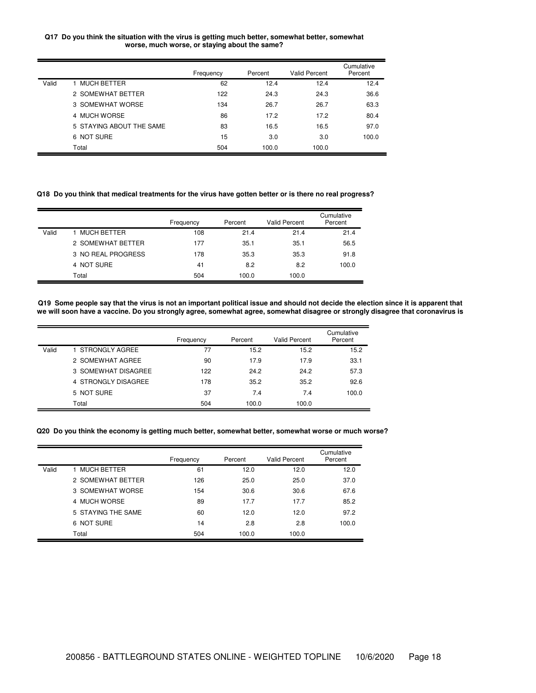### **Q17 Do you think the situation with the virus is getting much better, somewhat better, somewhat worse, much worse, or staying about the same?**

|       |                          | Frequency | Percent | Valid Percent | Cumulative<br>Percent |
|-------|--------------------------|-----------|---------|---------------|-----------------------|
| Valid | 1 MUCH BETTER            | 62        | 12.4    | 12.4          | 12.4                  |
|       | 2 SOMEWHAT BETTER        | 122       | 24.3    | 24.3          | 36.6                  |
|       | 3 SOMEWHAT WORSE         | 134       | 26.7    | 26.7          | 63.3                  |
|       | 4 MUCH WORSE             | 86        | 17.2    | 17.2          | 80.4                  |
|       | 5 STAYING ABOUT THE SAME | 83        | 16.5    | 16.5          | 97.0                  |
|       | 6 NOT SURE               | 15        | 3.0     | 3.0           | 100.0                 |
|       | Total                    | 504       | 100.0   | 100.0         |                       |

Q18 Do you think that medical treatments for the virus have gotten better or is there no real progress?

|       |                    | Frequency | Percent | <b>Valid Percent</b> | Cumulative<br>Percent |
|-------|--------------------|-----------|---------|----------------------|-----------------------|
| Valid | MUCH BETTER        | 108       | 21.4    | 21.4                 | 21.4                  |
|       | 2 SOMEWHAT BETTER  | 177       | 35.1    | 35.1                 | 56.5                  |
|       | 3 NO REAL PROGRESS | 178       | 35.3    | 35.3                 | 91.8                  |
|       | 4 NOT SURE         | 41        | 8.2     | 8.2                  | 100.0                 |
|       | Total              | 504       | 100.0   | 100.0                |                       |

Q19 Some people say that the virus is not an important political issue and should not decide the election since it is apparent that we will soon have a vaccine. Do you strongly agree, somewhat agree, somewhat disagree or strongly disagree that coronavirus is

|       |                     | Frequency | Percent | <b>Valid Percent</b> | Cumulative<br>Percent |
|-------|---------------------|-----------|---------|----------------------|-----------------------|
| Valid | 1 STRONGLY AGREE    | 77        | 15.2    | 15.2                 | 15.2                  |
|       | 2 SOMEWHAT AGREE    | 90        | 17.9    | 17.9                 | 33.1                  |
|       | 3 SOMEWHAT DISAGREE | 122       | 24.2    | 24.2                 | 57.3                  |
|       | 4 STRONGLY DISAGREE | 178       | 35.2    | 35.2                 | 92.6                  |
|       | 5 NOT SURE          | 37        | 7.4     | 7.4                  | 100.0                 |
|       | Total               | 504       | 100.0   | 100.0                |                       |

#### **Q20 Do you think the economy is getting much better, somewhat better, somewhat worse or much worse?**

|       |                    | Frequency | Percent | <b>Valid Percent</b> | Cumulative<br>Percent |
|-------|--------------------|-----------|---------|----------------------|-----------------------|
| Valid | 1 MUCH BETTER      | 61        | 12.0    | 12.0                 | 12.0                  |
|       | 2 SOMEWHAT BETTER  | 126       | 25.0    | 25.0                 | 37.0                  |
|       | 3 SOMEWHAT WORSE   | 154       | 30.6    | 30.6                 | 67.6                  |
|       | 4 MUCH WORSE       | 89        | 17.7    | 17.7                 | 85.2                  |
|       | 5 STAYING THE SAME | 60        | 12.0    | 12.0                 | 97.2                  |
|       | 6 NOT SURE         | 14        | 2.8     | 2.8                  | 100.0                 |
|       | Total              | 504       | 100.0   | 100.0                |                       |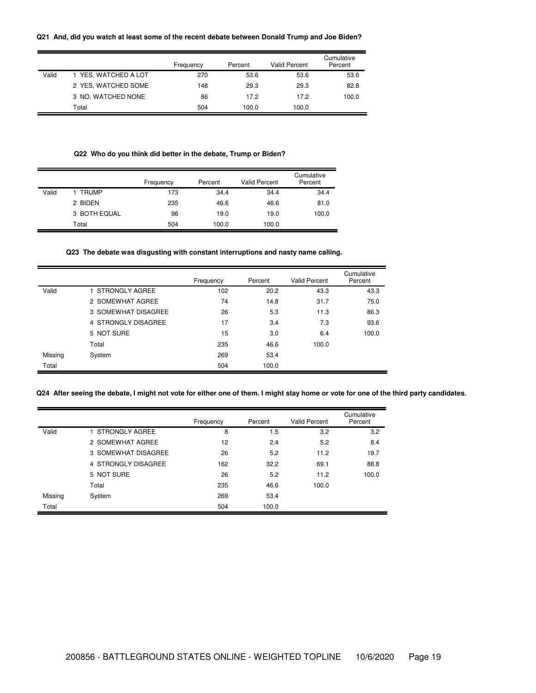## **Q21 And, did you watch at least some of the recent debate between Donald Trump and Joe Biden?**

|       |                      | Frequency | Percent | Valid Percent | Cumulative<br>Percent |
|-------|----------------------|-----------|---------|---------------|-----------------------|
| Valid | 1 YES, WATCHED A LOT | 270       | 53.6    | 53.6          | 53.6                  |
|       | 2 YES, WATCHED SOME  | 148       | 29.3    | 29.3          | 82.8                  |
|       | 3 NO, WATCHED NONE   | 86        | 17.2    | 17.2          | 100.0                 |
|       | Total                | 504       | 100.0   | 100.0         |                       |

# **Q22 Who do you think did better in the debate, Trump or Biden?**

|       |              | Frequency | Percent | <b>Valid Percent</b> | Cumulative<br>Percent |
|-------|--------------|-----------|---------|----------------------|-----------------------|
| Valid | <b>TRUMP</b> | 173       | 34.4    | 34.4                 | 34.4                  |
|       | 2 BIDEN      | 235       | 46.6    | 46.6                 | 81.0                  |
|       | 3 BOTH EQUAL | 96        | 19.0    | 19.0                 | 100.0                 |
|       | Total        | 504       | 100.0   | 100.0                |                       |

## **Q23 The debate was disgusting with constant interruptions and nasty name calling.**

|         |                     | Frequency | Percent | <b>Valid Percent</b> | Cumulative<br>Percent |
|---------|---------------------|-----------|---------|----------------------|-----------------------|
| Valid   | 1 STRONGLY AGREE    | 102       | 20.2    | 43.3                 | 43.3                  |
|         | 2 SOMEWHAT AGREE    | 74        | 14.8    | 31.7                 | 75.0                  |
|         | 3 SOMEWHAT DISAGREE | 26        | 5.3     | 11.3                 | 86.3                  |
|         | 4 STRONGLY DISAGREE | 17        | 3.4     | 7.3                  | 93.6                  |
|         | 5 NOT SURE          | 15        | 3.0     | 6.4                  | 100.0                 |
|         | Total               | 235       | 46.6    | 100.0                |                       |
| Missing | System              | 269       | 53.4    |                      |                       |
| Total   |                     | 504       | 100.0   |                      |                       |

# Q24 After seeing the debate, I might not vote for either one of them. I might stay home or vote for one of the third party candidates.

|         |                     | Frequency | Percent | <b>Valid Percent</b> | Cumulative<br>Percent |
|---------|---------------------|-----------|---------|----------------------|-----------------------|
| Valid   | 1 STRONGLY AGREE    | 8         | 1.5     | 3.2                  | 3.2                   |
|         | 2 SOMEWHAT AGREE    | 12        | 2.4     | 5.2                  | 8.4                   |
|         | 3 SOMEWHAT DISAGREE | 26        | 5.2     | 11.2                 | 19.7                  |
|         | 4 STRONGLY DISAGREE | 162       | 32.2    | 69.1                 | 88.8                  |
|         | 5 NOT SURE          | 26        | 5.2     | 11.2                 | 100.0                 |
|         | Total               | 235       | 46.6    | 100.0                |                       |
| Missing | System              | 269       | 53.4    |                      |                       |
| Total   |                     | 504       | 100.0   |                      |                       |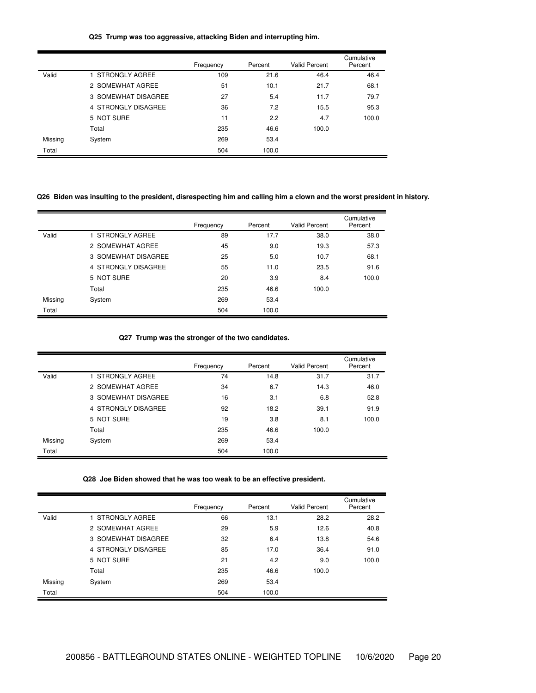## **Q25 Trump was too aggressive, attacking Biden and interrupting him.**

|         |                     | Frequency | Percent | <b>Valid Percent</b> | Cumulative<br>Percent |
|---------|---------------------|-----------|---------|----------------------|-----------------------|
| Valid   | 1 STRONGLY AGREE    | 109       | 21.6    | 46.4                 | 46.4                  |
|         | 2 SOMEWHAT AGREE    | 51        | 10.1    | 21.7                 | 68.1                  |
|         | 3 SOMEWHAT DISAGREE | 27        | 5.4     | 11.7                 | 79.7                  |
|         | 4 STRONGLY DISAGREE | 36        | 7.2     | 15.5                 | 95.3                  |
|         | 5 NOT SURE          | 11        | 2.2     | 4.7                  | 100.0                 |
|         | Total               | 235       | 46.6    | 100.0                |                       |
| Missing | System              | 269       | 53.4    |                      |                       |
| Total   |                     | 504       | 100.0   |                      |                       |

# Q26 Biden was insulting to the president, disrespecting him and calling him a clown and the worst president in history.

|         |                     | Frequency | Percent | Valid Percent | Cumulative<br>Percent |
|---------|---------------------|-----------|---------|---------------|-----------------------|
| Valid   | 1 STRONGLY AGREE    | 89        | 17.7    | 38.0          | 38.0                  |
|         | 2 SOMEWHAT AGREE    | 45        | 9.0     | 19.3          | 57.3                  |
|         | 3 SOMEWHAT DISAGREE | 25        | 5.0     | 10.7          | 68.1                  |
|         | 4 STRONGLY DISAGREE | 55        | 11.0    | 23.5          | 91.6                  |
|         | 5 NOT SURE          | 20        | 3.9     | 8.4           | 100.0                 |
|         | Total               | 235       | 46.6    | 100.0         |                       |
| Missing | System              | 269       | 53.4    |               |                       |
| Total   |                     | 504       | 100.0   |               |                       |

**Q27 Trump was the stronger of the two candidates.**

|         |                     | Frequency | Percent | <b>Valid Percent</b> | Cumulative<br>Percent |
|---------|---------------------|-----------|---------|----------------------|-----------------------|
| Valid   | 1 STRONGLY AGREE    | 74        | 14.8    | 31.7                 | 31.7                  |
|         | 2 SOMEWHAT AGREE    | 34        | 6.7     | 14.3                 | 46.0                  |
|         | 3 SOMEWHAT DISAGREE | 16        | 3.1     | 6.8                  | 52.8                  |
|         | 4 STRONGLY DISAGREE | 92        | 18.2    | 39.1                 | 91.9                  |
|         | 5 NOT SURE          | 19        | 3.8     | 8.1                  | 100.0                 |
|         | Total               | 235       | 46.6    | 100.0                |                       |
| Missing | System              | 269       | 53.4    |                      |                       |
| Total   |                     | 504       | 100.0   |                      |                       |

**Q28 Joe Biden showed that he was too weak to be an effective president.**

|         |                     | Frequency | Percent | <b>Valid Percent</b> | Cumulative<br>Percent |
|---------|---------------------|-----------|---------|----------------------|-----------------------|
| Valid   | 1 STRONGLY AGREE    | 66        | 13.1    | 28.2                 | 28.2                  |
|         | 2 SOMEWHAT AGREE    | 29        | 5.9     | 12.6                 | 40.8                  |
|         | 3 SOMEWHAT DISAGREE | 32        | 6.4     | 13.8                 | 54.6                  |
|         | 4 STRONGLY DISAGREE | 85        | 17.0    | 36.4                 | 91.0                  |
|         | 5 NOT SURE          | 21        | 4.2     | 9.0                  | 100.0                 |
|         | Total               | 235       | 46.6    | 100.0                |                       |
| Missing | System              | 269       | 53.4    |                      |                       |
| Total   |                     | 504       | 100.0   |                      |                       |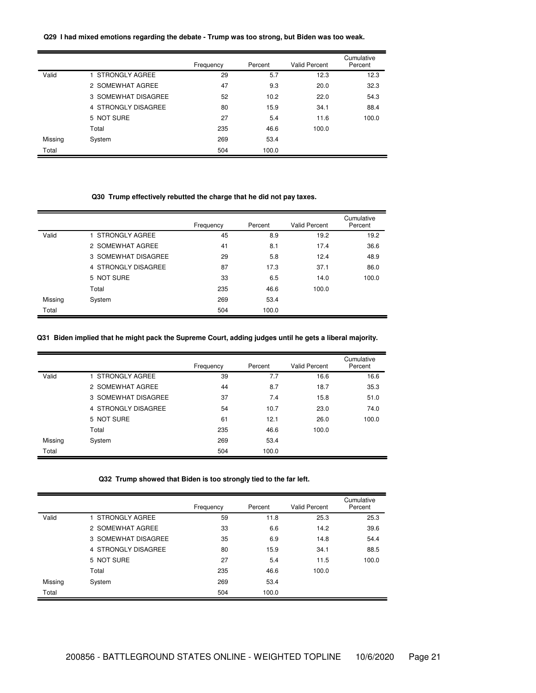## **Q29 I had mixed emotions regarding the debate - Trump was too strong, but Biden was too weak.**

|         |                     | Frequency | Percent | <b>Valid Percent</b> | Cumulative<br>Percent |
|---------|---------------------|-----------|---------|----------------------|-----------------------|
| Valid   | 1 STRONGLY AGREE    | 29        | 5.7     | 12.3                 | 12.3                  |
|         | 2 SOMEWHAT AGREE    | 47        | 9.3     | 20.0                 | 32.3                  |
|         | 3 SOMEWHAT DISAGREE | 52        | 10.2    | 22.0                 | 54.3                  |
|         | 4 STRONGLY DISAGREE | 80        | 15.9    | 34.1                 | 88.4                  |
|         | 5 NOT SURE          | 27        | 5.4     | 11.6                 | 100.0                 |
|         | Total               | 235       | 46.6    | 100.0                |                       |
| Missing | System              | 269       | 53.4    |                      |                       |
| Total   |                     | 504       | 100.0   |                      |                       |

# **Q30 Trump effectively rebutted the charge that he did not pay taxes.**

|         |                     | Frequency | Percent | <b>Valid Percent</b> | Cumulative<br>Percent |
|---------|---------------------|-----------|---------|----------------------|-----------------------|
| Valid   | 1 STRONGLY AGREE    | 45        | 8.9     | 19.2                 | 19.2                  |
|         | 2 SOMEWHAT AGREE    | 41        | 8.1     | 17.4                 | 36.6                  |
|         | 3 SOMEWHAT DISAGREE | 29        | 5.8     | 12.4                 | 48.9                  |
|         | 4 STRONGLY DISAGREE | 87        | 17.3    | 37.1                 | 86.0                  |
|         | 5 NOT SURE          | 33        | 6.5     | 14.0                 | 100.0                 |
|         | Total               | 235       | 46.6    | 100.0                |                       |
| Missing | System              | 269       | 53.4    |                      |                       |
| Total   |                     | 504       | 100.0   |                      |                       |

# Q31 Biden implied that he might pack the Supreme Court, adding judges until he gets a liberal majority.

|         |                     | Frequency | Percent | <b>Valid Percent</b> | Cumulative<br>Percent |
|---------|---------------------|-----------|---------|----------------------|-----------------------|
| Valid   | 1 STRONGLY AGREE    | 39        | 7.7     | 16.6                 | 16.6                  |
|         | 2 SOMEWHAT AGREE    | 44        | 8.7     | 18.7                 | 35.3                  |
|         | 3 SOMEWHAT DISAGREE | 37        | 7.4     | 15.8                 | 51.0                  |
|         | 4 STRONGLY DISAGREE | 54        | 10.7    | 23.0                 | 74.0                  |
|         | 5 NOT SURE          | 61        | 12.1    | 26.0                 | 100.0                 |
|         | Total               | 235       | 46.6    | 100.0                |                       |
| Missing | System              | 269       | 53.4    |                      |                       |
| Total   |                     | 504       | 100.0   |                      |                       |

## **Q32 Trump showed that Biden is too strongly tied to the far left.**

|         |                     | Frequency | Percent | <b>Valid Percent</b> | Cumulative<br>Percent |
|---------|---------------------|-----------|---------|----------------------|-----------------------|
| Valid   | 1 STRONGLY AGREE    | 59        | 11.8    | 25.3                 | 25.3                  |
|         | 2 SOMEWHAT AGREE    | 33        | 6.6     | 14.2                 | 39.6                  |
|         | 3 SOMEWHAT DISAGREE | 35        | 6.9     | 14.8                 | 54.4                  |
|         | 4 STRONGLY DISAGREE | 80        | 15.9    | 34.1                 | 88.5                  |
|         | 5 NOT SURE          | 27        | 5.4     | 11.5                 | 100.0                 |
|         | Total               | 235       | 46.6    | 100.0                |                       |
| Missing | System              | 269       | 53.4    |                      |                       |
| Total   |                     | 504       | 100.0   |                      |                       |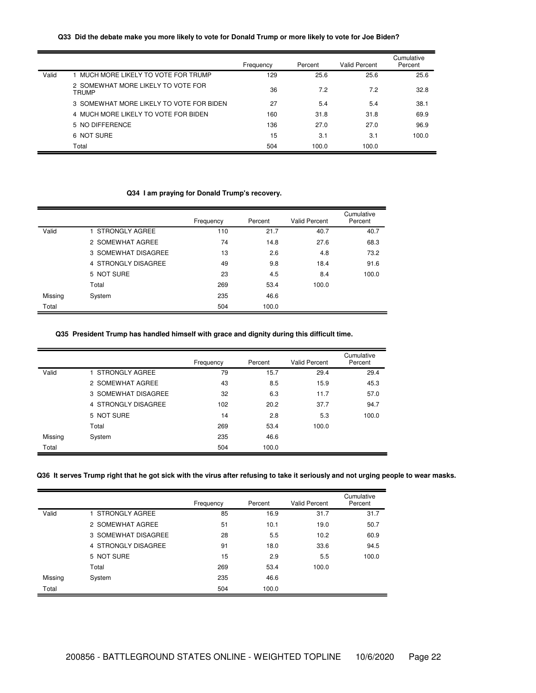### Q33 Did the debate make you more likely to vote for Donald Trump or more likely to vote for Joe Biden?

|       |                                                    | Frequency | Percent | <b>Valid Percent</b> | Cumulative<br>Percent |
|-------|----------------------------------------------------|-----------|---------|----------------------|-----------------------|
| Valid | 1 MUCH MORE LIKELY TO VOTE FOR TRUMP               | 129       | 25.6    | 25.6                 | 25.6                  |
|       | 2 SOMEWHAT MORE LIKELY TO VOTE FOR<br><b>TRUMP</b> | 36        | 7.2     | 7.2                  | 32.8                  |
|       | 3 SOMEWHAT MORE LIKELY TO VOTE FOR BIDEN           | 27        | 5.4     | 5.4                  | 38.1                  |
|       | 4 MUCH MORE LIKELY TO VOTE FOR BIDEN               | 160       | 31.8    | 31.8                 | 69.9                  |
|       | 5 NO DIFFERENCE                                    | 136       | 27.0    | 27.0                 | 96.9                  |
|       | 6 NOT SURE                                         | 15        | 3.1     | 3.1                  | 100.0                 |
|       | Total                                              | 504       | 100.0   | 100.0                |                       |

# **Q34 I am praying for Donald Trump's recovery.**

|         |                     | Frequency | Percent | <b>Valid Percent</b> | Cumulative<br>Percent |
|---------|---------------------|-----------|---------|----------------------|-----------------------|
| Valid   | 1 STRONGLY AGREE    | 110       | 21.7    | 40.7                 | 40.7                  |
|         | 2 SOMEWHAT AGREE    | 74        | 14.8    | 27.6                 | 68.3                  |
|         | 3 SOMEWHAT DISAGREE | 13        | 2.6     | 4.8                  | 73.2                  |
|         | 4 STRONGLY DISAGREE | 49        | 9.8     | 18.4                 | 91.6                  |
|         | 5 NOT SURE          | 23        | 4.5     | 8.4                  | 100.0                 |
|         | Total               | 269       | 53.4    | 100.0                |                       |
| Missing | System              | 235       | 46.6    |                      |                       |
| Total   |                     | 504       | 100.0   |                      |                       |

# **Q35 President Trump has handled himself with grace and dignity during this difficult time.**

|         |                     | Frequency | Percent | <b>Valid Percent</b> | Cumulative<br>Percent |
|---------|---------------------|-----------|---------|----------------------|-----------------------|
| Valid   | 1 STRONGLY AGREE    | 79        | 15.7    | 29.4                 | 29.4                  |
|         | 2 SOMEWHAT AGREE    | 43        | 8.5     | 15.9                 | 45.3                  |
|         | 3 SOMEWHAT DISAGREE | 32        | 6.3     | 11.7                 | 57.0                  |
|         | 4 STRONGLY DISAGREE | 102       | 20.2    | 37.7                 | 94.7                  |
|         | 5 NOT SURE          | 14        | 2.8     | 5.3                  | 100.0                 |
|         | Total               | 269       | 53.4    | 100.0                |                       |
| Missing | System              | 235       | 46.6    |                      |                       |
| Total   |                     | 504       | 100.0   |                      |                       |

## Q36 It serves Trump right that he got sick with the virus after refusing to take it seriously and not urging people to wear masks.

|         |                     | Frequency | Percent | <b>Valid Percent</b> | Cumulative<br>Percent |
|---------|---------------------|-----------|---------|----------------------|-----------------------|
| Valid   | 1 STRONGLY AGREE    | 85        | 16.9    | 31.7                 | 31.7                  |
|         | 2 SOMEWHAT AGREE    | 51        | 10.1    | 19.0                 | 50.7                  |
|         | 3 SOMEWHAT DISAGREE | 28        | 5.5     | 10.2                 | 60.9                  |
|         | 4 STRONGLY DISAGREE | 91        | 18.0    | 33.6                 | 94.5                  |
|         | 5 NOT SURE          | 15        | 2.9     | 5.5                  | 100.0                 |
|         | Total               | 269       | 53.4    | 100.0                |                       |
| Missing | System              | 235       | 46.6    |                      |                       |
| Total   |                     | 504       | 100.0   |                      |                       |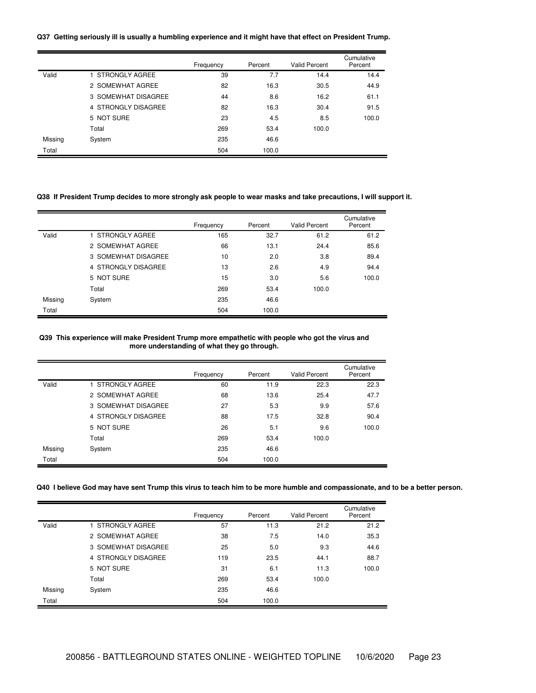### Q37 Getting seriously ill is usually a humbling experience and it might have that effect on President Trump.

|         |                     | Frequency | Percent | Valid Percent | Cumulative<br>Percent |
|---------|---------------------|-----------|---------|---------------|-----------------------|
| Valid   | 1 STRONGLY AGREE    | 39        | 7.7     | 14.4          | 14.4                  |
|         | 2 SOMEWHAT AGREE    | 82        | 16.3    | 30.5          | 44.9                  |
|         | 3 SOMEWHAT DISAGREE | 44        | 8.6     | 16.2          | 61.1                  |
|         | 4 STRONGLY DISAGREE | 82        | 16.3    | 30.4          | 91.5                  |
|         | 5 NOT SURE          | 23        | 4.5     | 8.5           | 100.0                 |
|         | Total               | 269       | 53.4    | 100.0         |                       |
| Missing | System              | 235       | 46.6    |               |                       |
| Total   |                     | 504       | 100.0   |               |                       |

# Q38 If President Trump decides to more strongly ask people to wear masks and take precautions, I will support it.

|         |                     | Frequency | Percent | <b>Valid Percent</b> | Cumulative<br>Percent |
|---------|---------------------|-----------|---------|----------------------|-----------------------|
| Valid   | 1 STRONGLY AGREE    | 165       | 32.7    | 61.2                 | 61.2                  |
|         | 2 SOMEWHAT AGREE    | 66        | 13.1    | 24.4                 | 85.6                  |
|         | 3 SOMEWHAT DISAGREE | 10        | 2.0     | 3.8                  | 89.4                  |
|         | 4 STRONGLY DISAGREE | 13        | 2.6     | 4.9                  | 94.4                  |
|         | 5 NOT SURE          | 15        | 3.0     | 5.6                  | 100.0                 |
|         | Total               | 269       | 53.4    | 100.0                |                       |
| Missing | System              | 235       | 46.6    |                      |                       |
| Total   |                     | 504       | 100.0   |                      |                       |

### **Q39 This experience will make President Trump more empathetic with people who got the virus and more understanding of what they go through.**

|         |                     | Frequency | Percent | <b>Valid Percent</b> | Cumulative<br>Percent |
|---------|---------------------|-----------|---------|----------------------|-----------------------|
| Valid   | 1 STRONGLY AGREE    | 60        | 11.9    | 22.3                 | 22.3                  |
|         | 2 SOMEWHAT AGREE    | 68        | 13.6    | 25.4                 | 47.7                  |
|         | 3 SOMEWHAT DISAGREE | 27        | 5.3     | 9.9                  | 57.6                  |
|         | 4 STRONGLY DISAGREE | 88        | 17.5    | 32.8                 | 90.4                  |
|         | 5 NOT SURE          | 26        | 5.1     | 9.6                  | 100.0                 |
|         | Total               | 269       | 53.4    | 100.0                |                       |
| Missing | System              | 235       | 46.6    |                      |                       |
| Total   |                     | 504       | 100.0   |                      |                       |

### Q40 I believe God may have sent Trump this virus to teach him to be more humble and compassionate, and to be a better person.

|         |                     | Frequency | Percent | <b>Valid Percent</b> | Cumulative<br>Percent |
|---------|---------------------|-----------|---------|----------------------|-----------------------|
| Valid   | 1 STRONGLY AGREE    | 57        | 11.3    | 21.2                 | 21.2                  |
|         | 2 SOMEWHAT AGREE    | 38        | 7.5     | 14.0                 | 35.3                  |
|         | 3 SOMEWHAT DISAGREE | 25        | 5.0     | 9.3                  | 44.6                  |
|         | 4 STRONGLY DISAGREE | 119       | 23.5    | 44.1                 | 88.7                  |
|         | 5 NOT SURE          | 31        | 6.1     | 11.3                 | 100.0                 |
|         | Total               | 269       | 53.4    | 100.0                |                       |
| Missing | System              | 235       | 46.6    |                      |                       |
| Total   |                     | 504       | 100.0   |                      |                       |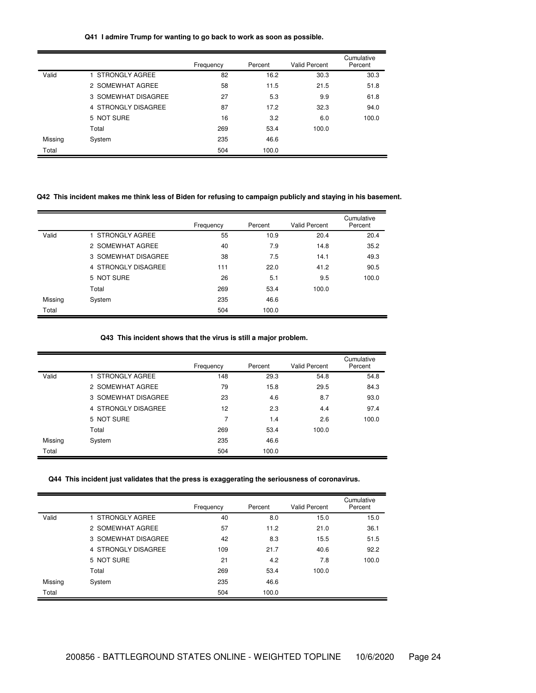### **Q41 I admire Trump for wanting to go back to work as soon as possible.**

|         |                     | Frequency | Percent | <b>Valid Percent</b> | Cumulative<br>Percent |
|---------|---------------------|-----------|---------|----------------------|-----------------------|
| Valid   | STRONGLY AGREE      | 82        | 16.2    | 30.3                 | 30.3                  |
|         | 2 SOMEWHAT AGREE    | 58        | 11.5    | 21.5                 | 51.8                  |
|         | 3 SOMEWHAT DISAGREE | 27        | 5.3     | 9.9                  | 61.8                  |
|         | 4 STRONGLY DISAGREE | 87        | 17.2    | 32.3                 | 94.0                  |
|         | 5 NOT SURE          | 16        | 3.2     | 6.0                  | 100.0                 |
|         | Total               | 269       | 53.4    | 100.0                |                       |
| Missing | System              | 235       | 46.6    |                      |                       |
| Total   |                     | 504       | 100.0   |                      |                       |

# Q42 This incident makes me think less of Biden for refusing to campaign publicly and staying in his basement.

|         |                     | Frequency | Percent | Valid Percent | Cumulative<br>Percent |
|---------|---------------------|-----------|---------|---------------|-----------------------|
| Valid   | 1 STRONGLY AGREE    | 55        | 10.9    | 20.4          | 20.4                  |
|         | 2 SOMEWHAT AGREE    | 40        | 7.9     | 14.8          | 35.2                  |
|         | 3 SOMEWHAT DISAGREE | 38        | 7.5     | 14.1          | 49.3                  |
|         | 4 STRONGLY DISAGREE | 111       | 22.0    | 41.2          | 90.5                  |
|         | 5 NOT SURE          | 26        | 5.1     | 9.5           | 100.0                 |
|         | Total               | 269       | 53.4    | 100.0         |                       |
| Missing | System              | 235       | 46.6    |               |                       |
| Total   |                     | 504       | 100.0   |               |                       |

**Q43 This incident shows that the virus is still a major problem.**

|         |                     | Frequency | Percent | <b>Valid Percent</b> | Cumulative<br>Percent |
|---------|---------------------|-----------|---------|----------------------|-----------------------|
| Valid   | 1 STRONGLY AGREE    | 148       | 29.3    | 54.8                 | 54.8                  |
|         | 2 SOMEWHAT AGREE    | 79        | 15.8    | 29.5                 | 84.3                  |
|         | 3 SOMEWHAT DISAGREE | 23        | 4.6     | 8.7                  | 93.0                  |
|         | 4 STRONGLY DISAGREE | 12        | 2.3     | 4.4                  | 97.4                  |
|         | 5 NOT SURE          | 7         | 1.4     | 2.6                  | 100.0                 |
|         | Total               | 269       | 53.4    | 100.0                |                       |
| Missing | System              | 235       | 46.6    |                      |                       |
| Total   |                     | 504       | 100.0   |                      |                       |

# **Q44 This incident just validates that the press is exaggerating the seriousness of coronavirus.**

|         |                     | Frequency | Percent | <b>Valid Percent</b> | Cumulative<br>Percent |
|---------|---------------------|-----------|---------|----------------------|-----------------------|
| Valid   | STRONGLY AGREE      | 40        | 8.0     | 15.0                 | 15.0                  |
|         | 2 SOMEWHAT AGREE    | 57        | 11.2    | 21.0                 | 36.1                  |
|         | 3 SOMEWHAT DISAGREE | 42        | 8.3     | 15.5                 | 51.5                  |
|         | 4 STRONGLY DISAGREE | 109       | 21.7    | 40.6                 | 92.2                  |
|         | 5 NOT SURE          | 21        | 4.2     | 7.8                  | 100.0                 |
|         | Total               | 269       | 53.4    | 100.0                |                       |
| Missing | System              | 235       | 46.6    |                      |                       |
| Total   |                     | 504       | 100.0   |                      |                       |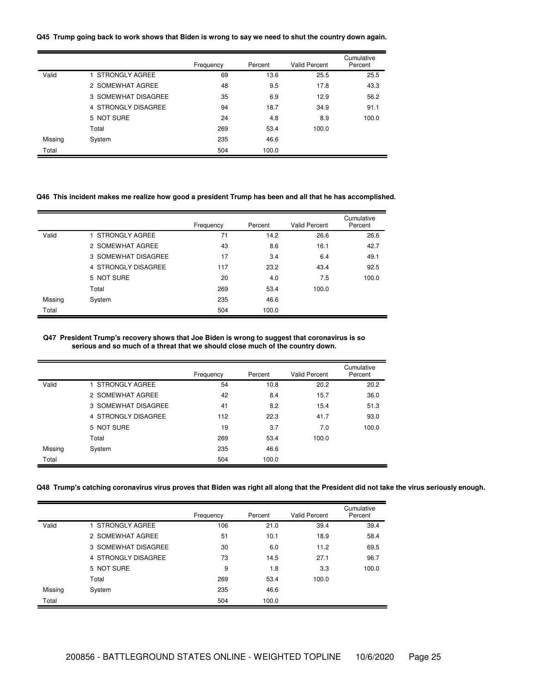#### Q45 Trump going back to work shows that Biden is wrong to say we need to shut the country down again.

|         |                     | Frequency | Percent | <b>Valid Percent</b> | Cumulative<br>Percent |
|---------|---------------------|-----------|---------|----------------------|-----------------------|
| Valid   | 1 STRONGLY AGREE    | 69        | 13.6    | 25.5                 | 25.5                  |
|         | 2 SOMEWHAT AGREE    | 48        | 9.5     | 17.8                 | 43.3                  |
|         | 3 SOMEWHAT DISAGREE | 35        | 6.9     | 12.9                 | 56.2                  |
|         | 4 STRONGLY DISAGREE | 94        | 18.7    | 34.9                 | 91.1                  |
|         | 5 NOT SURE          | 24        | 4.8     | 8.9                  | 100.0                 |
|         | Total               | 269       | 53.4    | 100.0                |                       |
| Missing | System              | 235       | 46.6    |                      |                       |
| Total   |                     | 504       | 100.0   |                      |                       |

# Q46 This incident makes me realize how good a president Trump has been and all that he has accomplished.

|         |                     | Frequency | Percent | <b>Valid Percent</b> | Cumulative<br>Percent |
|---------|---------------------|-----------|---------|----------------------|-----------------------|
| Valid   | 1 STRONGLY AGREE    | 71        | 14.2    | 26.6                 | 26.6                  |
|         | 2 SOMEWHAT AGREE    | 43        | 8.6     | 16.1                 | 42.7                  |
|         | 3 SOMEWHAT DISAGREE | 17        | 3.4     | 6.4                  | 49.1                  |
|         | 4 STRONGLY DISAGREE | 117       | 23.2    | 43.4                 | 92.5                  |
|         | 5 NOT SURE          | 20        | 4.0     | 7.5                  | 100.0                 |
|         | Total               | 269       | 53.4    | 100.0                |                       |
| Missing | System              | 235       | 46.6    |                      |                       |
| Total   |                     | 504       | 100.0   |                      |                       |

### **Q47 President Trump's recovery shows that Joe Biden is wrong to suggest that coronavirus is so serious and so much of a threat that we should close much of the country down.**

|         |                     | Frequency | Percent | <b>Valid Percent</b> | Cumulative<br>Percent |
|---------|---------------------|-----------|---------|----------------------|-----------------------|
| Valid   | 1 STRONGLY AGREE    | 54        | 10.8    | 20.2                 | 20.2                  |
|         | 2 SOMEWHAT AGREE    | 42        | 8.4     | 15.7                 | 36.0                  |
|         | 3 SOMEWHAT DISAGREE | 41        | 8.2     | 15.4                 | 51.3                  |
|         | 4 STRONGLY DISAGREE | 112       | 22.3    | 41.7                 | 93.0                  |
|         | 5 NOT SURE          | 19        | 3.7     | 7.0                  | 100.0                 |
|         | Total               | 269       | 53.4    | 100.0                |                       |
| Missing | System              | 235       | 46.6    |                      |                       |
| Total   |                     | 504       | 100.0   |                      |                       |

### Q48 Trump's catching coronavirus virus proves that Biden was right all along that the President did not take the virus seriously enough.

|         |                     | Frequency | Percent | <b>Valid Percent</b> | Cumulative<br>Percent |
|---------|---------------------|-----------|---------|----------------------|-----------------------|
| Valid   | 1 STRONGLY AGREE    | 106       | 21.0    | 39.4                 | 39.4                  |
|         | 2 SOMEWHAT AGREE    | 51        | 10.1    | 18.9                 | 58.4                  |
|         | 3 SOMEWHAT DISAGREE | 30        | 6.0     | 11.2                 | 69.5                  |
|         | 4 STRONGLY DISAGREE | 73        | 14.5    | 27.1                 | 96.7                  |
|         | 5 NOT SURE          | 9         | 1.8     | 3.3                  | 100.0                 |
|         | Total               | 269       | 53.4    | 100.0                |                       |
| Missing | System              | 235       | 46.6    |                      |                       |
| Total   |                     | 504       | 100.0   |                      |                       |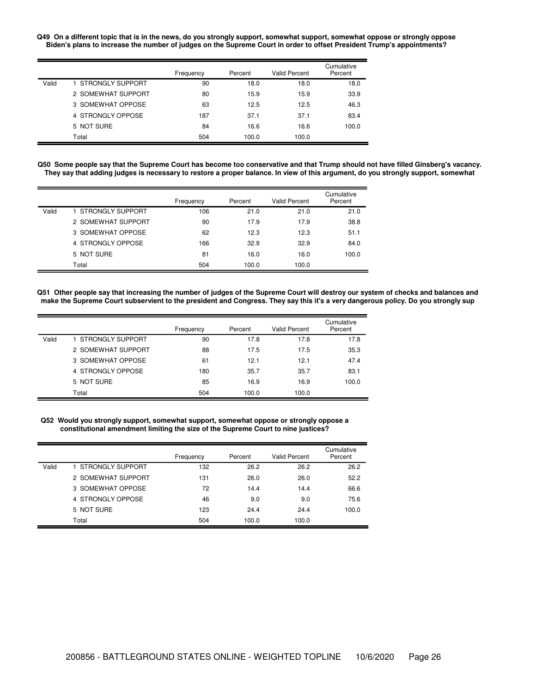#### Q49 On a different topic that is in the news, do you strongly support, somewhat support, somewhat oppose or strongly oppose Biden's plans to increase the number of judges on the Supreme Court in order to offset President Trump's appointments?

|       |                    | Frequency | Percent | <b>Valid Percent</b> | Cumulative<br>Percent |
|-------|--------------------|-----------|---------|----------------------|-----------------------|
| Valid | 1 STRONGLY SUPPORT | 90        | 18.0    | 18.0                 | 18.0                  |
|       | 2 SOMEWHAT SUPPORT | 80        | 15.9    | 15.9                 | 33.9                  |
|       | 3 SOMEWHAT OPPOSE  | 63        | 12.5    | 12.5                 | 46.3                  |
|       | 4 STRONGLY OPPOSE  | 187       | 37.1    | 37.1                 | 83.4                  |
|       | 5 NOT SURE         | 84        | 16.6    | 16.6                 | 100.0                 |
|       | Total              | 504       | 100.0   | 100.0                |                       |

Q50 Some people say that the Supreme Court has become too conservative and that Trump should not have filled Ginsberg's vacancy. They say that adding judges is necessary to restore a proper balance. In view of this argument, do you strongly support, somewhat

|       |                    | Frequency | Percent | <b>Valid Percent</b> | Cumulative<br>Percent |
|-------|--------------------|-----------|---------|----------------------|-----------------------|
| Valid | 1 STRONGLY SUPPORT | 106       | 21.0    | 21.0                 | 21.0                  |
|       | 2 SOMEWHAT SUPPORT | 90        | 17.9    | 17.9                 | 38.8                  |
|       | 3 SOMEWHAT OPPOSE  | 62        | 12.3    | 12.3                 | 51.1                  |
|       | 4 STRONGLY OPPOSE  | 166       | 32.9    | 32.9                 | 84.0                  |
|       | 5 NOT SURE         | 81        | 16.0    | 16.0                 | 100.0                 |
|       | Total              | 504       | 100.0   | 100.0                |                       |

Q51 Other people say that increasing the number of judges of the Supreme Court will destroy our system of checks and balances and make the Supreme Court subservient to the president and Congress. They say this it's a very dangerous policy. Do you strongly sup

|       |                    | Frequency | Percent | <b>Valid Percent</b> | Cumulative<br>Percent |
|-------|--------------------|-----------|---------|----------------------|-----------------------|
| Valid | 1 STRONGLY SUPPORT | 90        | 17.8    | 17.8                 | 17.8                  |
|       | 2 SOMEWHAT SUPPORT | 88        | 17.5    | 17.5                 | 35.3                  |
|       | 3 SOMEWHAT OPPOSE  | 61        | 12.1    | 12.1                 | 47.4                  |
|       | 4 STRONGLY OPPOSE  | 180       | 35.7    | 35.7                 | 83.1                  |
|       | 5 NOT SURE         | 85        | 16.9    | 16.9                 | 100.0                 |
|       | Total              | 504       | 100.0   | 100.0                |                       |

### **Q52 Would you strongly support, somewhat support, somewhat oppose or strongly oppose a constitutional amendment limiting the size of the Supreme Court to nine justices?**

|       |                    | Frequency | Percent | <b>Valid Percent</b> | Cumulative<br>Percent |
|-------|--------------------|-----------|---------|----------------------|-----------------------|
| Valid | 1 STRONGLY SUPPORT | 132       | 26.2    | 26.2                 | 26.2                  |
|       | 2 SOMEWHAT SUPPORT | 131       | 26.0    | 26.0                 | 52.2                  |
|       | 3 SOMEWHAT OPPOSE  | 72        | 14.4    | 14.4                 | 66.6                  |
|       | 4 STRONGLY OPPOSE  | 46        | 9.0     | 9.0                  | 75.6                  |
|       | 5 NOT SURE         | 123       | 24.4    | 24.4                 | 100.0                 |
|       | Total              | 504       | 100.0   | 100.0                |                       |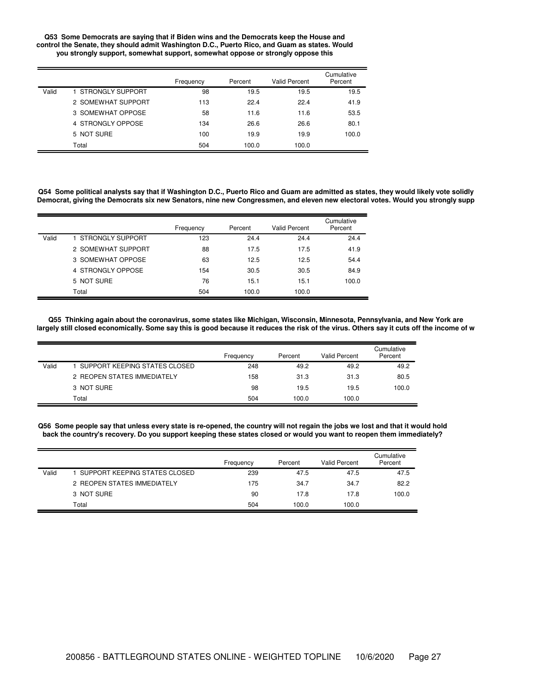#### **Q53 Some Democrats are saying that if Biden wins and the Democrats keep the House and control the Senate, they should admit Washington D.C., Puerto Rico, and Guam as states. Would you strongly support, somewhat support, somewhat oppose or strongly oppose this**

|       |                    | Frequency | Percent | <b>Valid Percent</b> | Cumulative<br>Percent |
|-------|--------------------|-----------|---------|----------------------|-----------------------|
| Valid | 1 STRONGLY SUPPORT | 98        | 19.5    | 19.5                 | 19.5                  |
|       | 2 SOMEWHAT SUPPORT | 113       | 22.4    | 22.4                 | 41.9                  |
|       | 3 SOMEWHAT OPPOSE  | 58        | 11.6    | 11.6                 | 53.5                  |
|       | 4 STRONGLY OPPOSE  | 134       | 26.6    | 26.6                 | 80.1                  |
|       | 5 NOT SURE         | 100       | 19.9    | 19.9                 | 100.0                 |
|       | Total              | 504       | 100.0   | 100.0                |                       |

Q54 Some political analysts say that if Washington D.C., Puerto Rico and Guam are admitted as states, they would likely vote solidly Democrat, giving the Democrats six new Senators, nine new Congressmen, and eleven new electoral votes. Would you strongly supp

|       |                    | Frequency | Percent | <b>Valid Percent</b> | Cumulative<br>Percent |
|-------|--------------------|-----------|---------|----------------------|-----------------------|
| Valid | 1 STRONGLY SUPPORT | 123       | 24.4    | 24.4                 | 24.4                  |
|       | 2 SOMEWHAT SUPPORT | 88        | 17.5    | 17.5                 | 41.9                  |
|       | 3 SOMEWHAT OPPOSE  | 63        | 12.5    | 12.5                 | 54.4                  |
|       | 4 STRONGLY OPPOSE  | 154       | 30.5    | 30.5                 | 84.9                  |
|       | 5 NOT SURE         | 76        | 15.1    | 15.1                 | 100.0                 |
|       | Total              | 504       | 100.0   | 100.0                |                       |

Q55 Thinking again about the coronavirus, some states like Michigan, Wisconsin, Minnesota, Pennsylvania, and New York are largely still closed economically. Some say this is good because it reduces the risk of the virus. Others say it cuts off the income of w

|       |                                 | Frequency | Percent | Valid Percent | Cumulative<br>Percent |
|-------|---------------------------------|-----------|---------|---------------|-----------------------|
| Valid | I SUPPORT KEEPING STATES CLOSED | 248       | 49.2    | 49.2          | 49.2                  |
|       | 2 REOPEN STATES IMMEDIATELY     | 158       | 31.3    | 31.3          | 80.5                  |
|       | 3 NOT SURE                      | 98        | 19.5    | 19.5          | 100.0                 |
|       | Total                           | 504       | 100.0   | 100.0         |                       |

Q56 Some people say that unless every state is re-opened, the country will not regain the jobs we lost and that it would hold back the country's recovery. Do you support keeping these states closed or would you want to reopen them immediately?

|       |                               | Frequency | Percent | Valid Percent | Cumulative<br>Percent |
|-------|-------------------------------|-----------|---------|---------------|-----------------------|
| Valid | SUPPORT KEEPING STATES CLOSED | 239       | 47.5    | 47.5          | 47.5                  |
|       | 2 REOPEN STATES IMMEDIATELY   | 175       | 34.7    | 34.7          | 82.2                  |
|       | 3 NOT SURE                    | 90        | 17.8    | 17.8          | 100.0                 |
|       | Total                         | 504       | 100.0   | 100.0         |                       |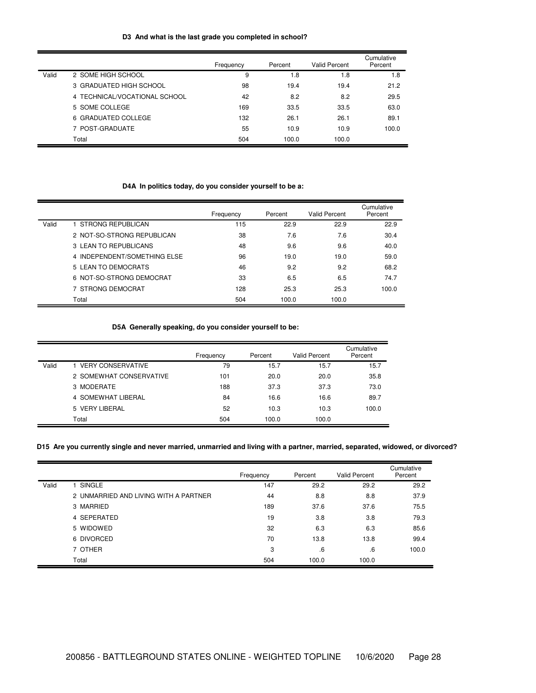## **D3 And what is the last grade you completed in school?**

|       |                               | Frequency | Percent | Valid Percent | Cumulative<br>Percent |
|-------|-------------------------------|-----------|---------|---------------|-----------------------|
| Valid | 2 SOME HIGH SCHOOL            | 9         | 1.8     | 1.8           | 1.8                   |
|       | 3 GRADUATED HIGH SCHOOL       | 98        | 19.4    | 19.4          | 21.2                  |
|       | 4 TECHNICAL/VOCATIONAL SCHOOL | 42        | 8.2     | 8.2           | 29.5                  |
|       | 5 SOME COLLEGE                | 169       | 33.5    | 33.5          | 63.0                  |
|       | 6 GRADUATED COLLEGE           | 132       | 26.1    | 26.1          | 89.1                  |
|       | 7 POST-GRADUATE               | 55        | 10.9    | 10.9          | 100.0                 |
|       | Total                         | 504       | 100.0   | 100.0         |                       |

## **D4A In politics today, do you consider yourself to be a:**

|       |                              | Frequency | Percent | Valid Percent | Cumulative<br>Percent |
|-------|------------------------------|-----------|---------|---------------|-----------------------|
| Valid | 1 STRONG REPUBLICAN          | 115       | 22.9    | 22.9          | 22.9                  |
|       | 2 NOT-SO-STRONG REPUBLICAN   | 38        | 7.6     | 7.6           | 30.4                  |
|       | 3 LEAN TO REPUBLICANS        | 48        | 9.6     | 9.6           | 40.0                  |
|       | 4 INDEPENDENT/SOMETHING ELSE | 96        | 19.0    | 19.0          | 59.0                  |
|       | 5 LEAN TO DEMOCRATS          | 46        | 9.2     | 9.2           | 68.2                  |
|       | 6 NOT-SO-STRONG DEMOCRAT     | 33        | 6.5     | 6.5           | 74.7                  |
|       | 7 STRONG DEMOCRAT            | 128       | 25.3    | 25.3          | 100.0                 |
|       | Total                        | 504       | 100.0   | 100.0         |                       |

## **D5A Generally speaking, do you consider yourself to be:**

|       |                          | Frequency | Percent | <b>Valid Percent</b> | Cumulative<br>Percent |
|-------|--------------------------|-----------|---------|----------------------|-----------------------|
| Valid | <b>VERY CONSERVATIVE</b> | 79        | 15.7    | 15.7                 | 15.7                  |
|       | 2 SOMEWHAT CONSERVATIVE  | 101       | 20.0    | 20.0                 | 35.8                  |
|       | 3 MODERATE               | 188       | 37.3    | 37.3                 | 73.0                  |
|       | 4 SOMEWHAT LIBERAL       | 84        | 16.6    | 16.6                 | 89.7                  |
|       | 5 VERY LIBERAL           | 52        | 10.3    | 10.3                 | 100.0                 |
|       | Total                    | 504       | 100.0   | 100.0                |                       |

# D15 Are you currently single and never married, unmarried and living with a partner, married, separated, widowed, or divorced?

|       |                                       | Frequency | Percent | <b>Valid Percent</b> | Cumulative<br>Percent |
|-------|---------------------------------------|-----------|---------|----------------------|-----------------------|
| Valid | SINGLE                                | 147       | 29.2    | 29.2                 | 29.2                  |
|       | 2 UNMARRIED AND LIVING WITH A PARTNER | 44        | 8.8     | 8.8                  | 37.9                  |
|       | 3 MARRIED                             | 189       | 37.6    | 37.6                 | 75.5                  |
|       | 4 SEPERATED                           | 19        | 3.8     | 3.8                  | 79.3                  |
|       | 5 WIDOWED                             | 32        | 6.3     | 6.3                  | 85.6                  |
|       | 6 DIVORCED                            | 70        | 13.8    | 13.8                 | 99.4                  |
|       | 7 OTHER                               | 3         | 6       | 6.6                  | 100.0                 |
|       | Total                                 | 504       | 100.0   | 100.0                |                       |